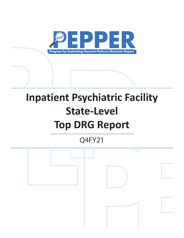

# **Inpatient Psychiatric Facility State-Level Top DRG Report**

Q4FY21

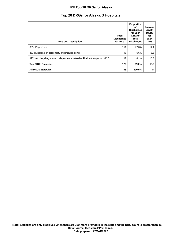## **IPF Top 20 DRGs for Alaska 1**

# **Top 20 DRGs for Alaska, 3 Hospitals**

| <b>DRG and Description</b>                                                 | Total<br><b>Discharges</b><br>for DRG | Proportion<br>οf<br><b>Discharges</b><br>for Each<br><b>DRG</b> to<br>Total<br><b>Discharges</b> | Average<br>Length<br>of Stay<br>for<br>Each<br><b>DRG</b> |
|----------------------------------------------------------------------------|---------------------------------------|--------------------------------------------------------------------------------------------------|-----------------------------------------------------------|
| 885 : Psychoses                                                            | 151                                   | 77.0%                                                                                            | 14.1                                                      |
| 883 : Disorders of personality and impulse control                         | 13                                    | 6.6%                                                                                             | 8.5                                                       |
| 897 : Alcohol, drug abuse or dependence w/o rehabilitation therapy w/o MCC | 12                                    | 6.1%                                                                                             | 15.3                                                      |
| <b>Top DRGs Statewide</b>                                                  | 176                                   | 89.8%                                                                                            | 13.8                                                      |
| <b>All DRGs Statewide</b>                                                  | 196                                   | 100.0%                                                                                           | 14                                                        |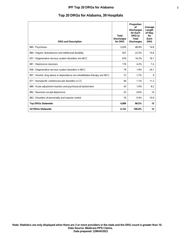## **IPF Top 20 DRGs for Alabama 2**

# **Top 20 DRGs for Alabama, 39 Hospitals**

| <b>DRG and Description</b>                                                 | <b>Total</b><br><b>Discharges</b><br>for DRG | Proportion<br>οf<br><b>Discharges</b><br>for Each<br>DRG to<br>Total<br><b>Discharges</b> | Average<br>Length<br>of Stay<br>for<br>Each<br><b>DRG</b> |
|----------------------------------------------------------------------------|----------------------------------------------|-------------------------------------------------------------------------------------------|-----------------------------------------------------------|
| 885: Psychoses                                                             | 2,029                                        | 48.9%                                                                                     | 14.8                                                      |
| 884 : Organic disturbances and intellectual disability                     | 927                                          | 22.3%                                                                                     | 15.8                                                      |
| 057 : Degenerative nervous system disorders w/o MCC                        | 676                                          | 16.3%                                                                                     | 16.7                                                      |
| 881 : Depressive neuroses                                                  | 176                                          | 4.2%                                                                                      | 7.4                                                       |
| 056 : Degenerative nervous system disorders w MCC                          | 79                                           | 1.9%                                                                                      | 24.1                                                      |
| 897 : Alcohol, drug abuse or dependence w/o rehabilitation therapy w/o MCC | 72                                           | 1.7%                                                                                      | 9                                                         |
| 071 : Nonspecific cerebrovascular disorders w CC                           | 46                                           | 1.1%                                                                                      | 11.2                                                      |
| 880 : Acute adjustment reaction and psychosocial dysfunction               | 43                                           | 1.0%                                                                                      | 8.2                                                       |
| 882 : Neuroses except depressive                                           | 25                                           | 0.6%                                                                                      | 14                                                        |
| 883 : Disorders of personality and impulse control                         | 16                                           | $0.4\%$                                                                                   | 10.9                                                      |
| <b>Top DRGs Statewide</b>                                                  | 4,089                                        | 98.5%                                                                                     | 15                                                        |
| <b>All DRGs Statewide</b>                                                  | 4,152                                        | 100.0%                                                                                    | 15                                                        |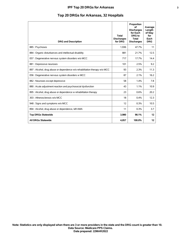## **IPF Top 20 DRGs for Arkansas 3**

# **Top 20 DRGs for Arkansas, 32 Hospitals**

| <b>DRG and Description</b>                                                 | <b>Total</b><br><b>Discharges</b><br>for DRG | Proportion<br>of<br><b>Discharges</b><br>for Each<br>DRG to<br><b>Total</b><br><b>Discharges</b> | Average<br>Length<br>of Stay<br>for<br>Each<br><b>DRG</b> |
|----------------------------------------------------------------------------|----------------------------------------------|--------------------------------------------------------------------------------------------------|-----------------------------------------------------------|
| 885: Psychoses                                                             | 1,936                                        | 47.7%                                                                                            | 11                                                        |
| 884 : Organic disturbances and intellectual disability                     | 881                                          | 21.7%                                                                                            | 12.5                                                      |
| 057 : Degenerative nervous system disorders w/o MCC                        | 717                                          | 17.7%                                                                                            | 14.4                                                      |
| 881 : Depressive neuroses                                                  | 101                                          | 2.5%                                                                                             | 9.2                                                       |
| 897 : Alcohol, drug abuse or dependence w/o rehabilitation therapy w/o MCC | 93                                           | 2.3%                                                                                             | 11.3                                                      |
| 056 : Degenerative nervous system disorders w MCC                          | 87                                           | 2.1%                                                                                             | 16.2                                                      |
| 882 : Neuroses except depressive                                           | 58                                           | 1.4%                                                                                             | 7.8                                                       |
| 880 : Acute adjustment reaction and psychosocial dysfunction               | 43                                           | 1.1%                                                                                             | 10.9                                                      |
| 895 : Alcohol, drug abuse or dependence w rehabilitation therapy           | 23                                           | 0.6%                                                                                             | 20.2                                                      |
| 303 : Atherosclerosis w/o MCC                                              | 18                                           | 0.4%                                                                                             | 12.3                                                      |
| 948 : Signs and symptoms w/o MCC                                           | 12                                           | 0.3%                                                                                             | 10.5                                                      |
| 894 : Alcohol, drug abuse or dependence, left AMA                          | 11                                           | 0.3%                                                                                             | 3.7                                                       |
| <b>Top DRGs Statewide</b>                                                  | 3,980                                        | 98.1%                                                                                            | 12                                                        |
| <b>All DRGs Statewide</b>                                                  | 4.057                                        | 100.0%                                                                                           | $12 \overline{ }$                                         |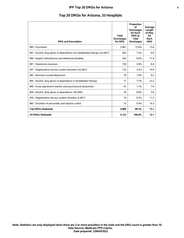## **IPF Top 20 DRGs for Arizona 4**

# **Top 20 DRGs for Arizona, 33 Hospitals**

| <b>DRG and Description</b>                                                 | <b>Total</b><br><b>Discharges</b><br>for DRG | Proportion<br>of<br><b>Discharges</b><br>for Each<br>DRG to<br>Total<br><b>Discharges</b> | Average<br>Length<br>of Stay<br>for<br>Each<br><b>DRG</b> |
|----------------------------------------------------------------------------|----------------------------------------------|-------------------------------------------------------------------------------------------|-----------------------------------------------------------|
| 885: Psychoses                                                             | 2.967                                        | 72.0%                                                                                     | 13.6                                                      |
| 897 : Alcohol, drug abuse or dependence w/o rehabilitation therapy w/o MCC | 302                                          | 7.3%                                                                                      | 6.6                                                       |
| 884 : Organic disturbances and intellectual disability                     | 262                                          | 6.4%                                                                                      | 17.4                                                      |
| 881 : Depressive neuroses                                                  | 159                                          | 3.9%                                                                                      | 8.4                                                       |
| 057 : Degenerative nervous system disorders w/o MCC                        | 133                                          | 3.2%                                                                                      | 14.9                                                      |
| 882 : Neuroses except depressive                                           | 79                                           | 1.9%                                                                                      | 9.2                                                       |
| 895 : Alcohol, drug abuse or dependence w rehabilitation therapy           | 71                                           | 1.7%                                                                                      | 22.2                                                      |
| 880 : Acute adjustment reaction and psychosocial dysfunction               | 47                                           | 1.1%                                                                                      | 7.6                                                       |
| 894 : Alcohol, drug abuse or dependence, left AMA                          | 34                                           | 0.8%                                                                                      | 5.6                                                       |
| 056 : Degenerative nervous system disorders w MCC                          | 19                                           | 0.5%                                                                                      | 11.3                                                      |
| 883 : Disorders of personality and impulse control                         | 15                                           | 0.4%                                                                                      | 14.3                                                      |
| <b>Top DRGs Statewide</b>                                                  | 4,088                                        | 99.2%                                                                                     | 13.1                                                      |
| <b>All DRGs Statewide</b>                                                  | 4,122                                        | 100.0%                                                                                    | 13.1                                                      |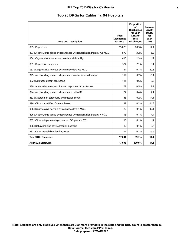|  |  |  |  | Top 20 DRGs for California, 94 Hospitals |  |  |  |
|--|--|--|--|------------------------------------------|--|--|--|
|--|--|--|--|------------------------------------------|--|--|--|

| <b>DRG and Description</b>                                                 | <b>Total</b><br><b>Discharges</b><br>for DRG | Proportion<br>οf<br><b>Discharges</b><br>for Each<br>DRG to<br><b>Total</b><br><b>Discharges</b> | Average<br>Length<br>of Stay<br>for<br>Each<br><b>DRG</b> |
|----------------------------------------------------------------------------|----------------------------------------------|--------------------------------------------------------------------------------------------------|-----------------------------------------------------------|
| 885: Psychoses                                                             | 15,623                                       | 88.3%                                                                                            | 14.4                                                      |
| 897 : Alcohol, drug abuse or dependence w/o rehabilitation therapy w/o MCC | 570                                          | 3.2%                                                                                             | 6.2                                                       |
| 884 : Organic disturbances and intellectual disability                     | 410                                          | 2.3%                                                                                             | 19                                                        |
| 881 : Depressive neuroses                                                  | 374                                          | 2.1%                                                                                             | 8.1                                                       |
| 057 : Degenerative nervous system disorders w/o MCC                        | 127                                          | 0.7%                                                                                             | 20.3                                                      |
| 895 : Alcohol, drug abuse or dependence w rehabilitation therapy           | 119                                          | 0.7%                                                                                             | 13.1                                                      |
| 882 : Neuroses except depressive                                           | 111                                          | 0.6%                                                                                             | 5.8                                                       |
| 880 : Acute adjustment reaction and psychosocial dysfunction               | 79                                           | 0.5%                                                                                             | 9.2                                                       |
| 894 : Alcohol, drug abuse or dependence, left AMA                          | 77                                           | 0.4%                                                                                             | 4.1                                                       |
| 883 : Disorders of personality and impulse control                         | 38                                           | 0.2%                                                                                             | 14.1                                                      |
| 876 : OR procs w PDx of mental illness                                     | 27                                           | 0.2%                                                                                             | 24.3                                                      |
| 056 : Degenerative nervous system disorders w MCC                          | 22                                           | 0.1%                                                                                             | 47.1                                                      |
| 896 : Alcohol, drug abuse or dependence w/o rehabilitation therapy w MCC   | 18                                           | 0.1%                                                                                             | 7.4                                                       |
| 832 : Other antepartum diagnoses w/o OR procs w CC                         | 16                                           | 0.1%                                                                                             | 12                                                        |
| 886 : Behavioral and developmental disorders                               | 12                                           | 0.1%                                                                                             | 9.7                                                       |
| 887 : Other mental disorder diagnoses                                      | 11                                           | 0.1%                                                                                             | 19.9                                                      |
| <b>Top DRGs Statewide</b>                                                  | 17,634                                       | 99.7%                                                                                            | 14.1                                                      |
| <b>All DRGs Statewide</b>                                                  | 17,696                                       | 100.0%                                                                                           | 14.1                                                      |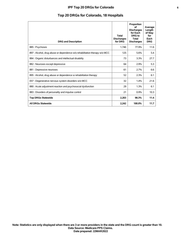## **IPF Top 20 DRGs for Colorado 6**

# **Top 20 DRGs for Colorado, 18 Hospitals**

| <b>DRG and Description</b>                                                 | <b>Total</b><br><b>Discharges</b><br>for DRG | Proportion<br>οf<br><b>Discharges</b><br>for Each<br>DRG to<br>Total<br><b>Discharges</b> | Average<br>Length<br>of Stay<br>for<br>Each<br><b>DRG</b> |
|----------------------------------------------------------------------------|----------------------------------------------|-------------------------------------------------------------------------------------------|-----------------------------------------------------------|
| 885: Psychoses                                                             | 1.746                                        | 77.9%                                                                                     | 11.6                                                      |
| 897 : Alcohol, drug abuse or dependence w/o rehabilitation therapy w/o MCC | 125                                          | 5.6%                                                                                      | 5.4                                                       |
| 884 : Organic disturbances and intellectual disability                     | 73                                           | 3.3%                                                                                      | 27.7                                                      |
| 882 : Neuroses except depressive                                           | 64                                           | 2.9%                                                                                      | 5.3                                                       |
| 881 : Depressive neuroses                                                  | 61                                           | 2.7%                                                                                      | 6.6                                                       |
| 895 : Alcohol, drug abuse or dependence w rehabilitation therapy           | 52                                           | 2.3%                                                                                      | 6.1                                                       |
| 057 : Degenerative nervous system disorders w/o MCC                        | 32                                           | 1.4%                                                                                      | 21.6                                                      |
| 880 : Acute adjustment reaction and psychosocial dysfunction               | 29                                           | 1.3%                                                                                      | 6.1                                                       |
| 883 : Disorders of personality and impulse control                         | 21                                           | 0.9%                                                                                      | 10.3                                                      |
| <b>Top DRGs Statewide</b>                                                  | 2,203                                        | 98.3%                                                                                     | 11.4                                                      |
| <b>All DRGs Statewide</b>                                                  | 2,242                                        | 100.0%                                                                                    | 11.7                                                      |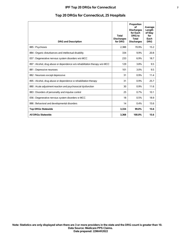## **IPF Top 20 DRGs for Connecticut 7**

| Top 20 DRGs for Connecticut, 25 Hospitals |
|-------------------------------------------|
|-------------------------------------------|

| <b>DRG and Description</b>                                                 | <b>Total</b><br><b>Discharges</b><br>for DRG | Proportion<br>οf<br><b>Discharges</b><br>for Each<br>DRG to<br><b>Total</b><br><b>Discharges</b> | Average<br>Length<br>of Stay<br>for<br>Each<br><b>DRG</b> |
|----------------------------------------------------------------------------|----------------------------------------------|--------------------------------------------------------------------------------------------------|-----------------------------------------------------------|
| 885: Psychoses                                                             | 2,388                                        | 70.9%                                                                                            | 15.2                                                      |
| 884 : Organic disturbances and intellectual disability                     | 334                                          | 9.9%                                                                                             | 20.8                                                      |
| 057 : Degenerative nervous system disorders w/o MCC                        | 233                                          | 6.9%                                                                                             | 18.7                                                      |
| 897 : Alcohol, drug abuse or dependence w/o rehabilitation therapy w/o MCC | 129                                          | 3.8%                                                                                             | 9.5                                                       |
| 881 : Depressive neuroses                                                  | 101                                          | 3.0%                                                                                             | 9.5                                                       |
| 882 : Neuroses except depressive                                           | 31                                           | 0.9%                                                                                             | 11.4                                                      |
| 895 : Alcohol, drug abuse or dependence w rehabilitation therapy           | 31                                           | 0.9%                                                                                             | 25.7                                                      |
| 880 : Acute adjustment reaction and psychosocial dysfunction               | 30                                           | 0.9%                                                                                             | 11.6                                                      |
| 883 : Disorders of personality and impulse control                         | 25                                           | 0.7%                                                                                             | 10.1                                                      |
| 056 : Degenerative nervous system disorders w MCC                          | 18                                           | 0.5%                                                                                             | 18.9                                                      |
| 886 : Behavioral and developmental disorders                               | 14                                           | 0.4%                                                                                             | 15.6                                                      |
| <b>Top DRGs Statewide</b>                                                  | 3,334                                        | 99.0%                                                                                            | 15.6                                                      |
| <b>All DRGs Statewide</b>                                                  | 3,368                                        | 100.0%                                                                                           | 15.6                                                      |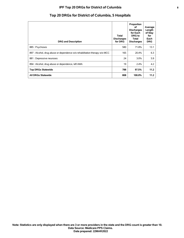## **IPF Top 20 DRGs for District of Columbia 8**

|                                                                            |                                       | Proportion<br>οf<br><b>Discharges</b><br>for Each | Average<br>Length<br>of Stay |
|----------------------------------------------------------------------------|---------------------------------------|---------------------------------------------------|------------------------------|
| <b>DRG and Description</b>                                                 | Total<br><b>Discharges</b><br>for DRG | DRG to<br>Total<br><b>Discharges</b>              | for<br>Each<br>DRG.          |
| 885: Psychoses                                                             | 580                                   | 71.8%                                             | 13.1                         |
| 897 : Alcohol, drug abuse or dependence w/o rehabilitation therapy w/o MCC | 165                                   | 20.4%                                             | 6.3                          |
| 881 : Depressive neuroses                                                  | 24                                    | $3.0\%$                                           | 5.9                          |
| 894 : Alcohol, drug abuse or dependence, left AMA                          | 19                                    | 2.4%                                              | 4.2                          |
| <b>Top DRGs Statewide</b>                                                  | 788                                   | 97.5%                                             | 11.2                         |
| <b>All DRGs Statewide</b>                                                  | 808                                   | 100.0%                                            | 11.2                         |

# **Top 20 DRGs for District of Columbia, 5 Hospitals**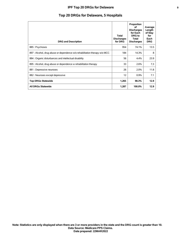## **IPF Top 20 DRGs for Delaware 9**

# **Top 20 DRGs for Delaware, 5 Hospitals**

| <b>DRG and Description</b>                                                 | Total<br><b>Discharges</b><br>for DRG | Proportion<br>οf<br><b>Discharges</b><br>for Each<br>DRG to<br>Total<br><b>Discharges</b> | Average<br>Length<br>of Stay<br>for<br>Each<br><b>DRG</b> |
|----------------------------------------------------------------------------|---------------------------------------|-------------------------------------------------------------------------------------------|-----------------------------------------------------------|
| 885: Psychoses                                                             | 954                                   | 74.1%                                                                                     | 13.5                                                      |
| 897 : Alcohol, drug abuse or dependence w/o rehabilitation therapy w/o MCC | 184                                   | 14.3%                                                                                     | 8                                                         |
| 884 : Organic disturbances and intellectual disability                     | 56                                    | 4.4%                                                                                      | 23.9                                                      |
| 895 : Alcohol, drug abuse or dependence w rehabilitation therapy           | 33                                    | 2.6%                                                                                      | 7.3                                                       |
| 881 : Depressive neuroses                                                  | 26                                    | 2.0%                                                                                      | 11.8                                                      |
| 882 : Neuroses except depressive                                           | 12                                    | 0.9%                                                                                      | 7.1                                                       |
| <b>Top DRGs Statewide</b>                                                  | 1,265                                 | 98.3%                                                                                     | 12.9                                                      |
| <b>All DRGs Statewide</b>                                                  | 1,287                                 | 100.0%                                                                                    | 12.9                                                      |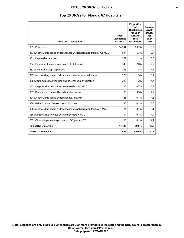## **IPF Top 20 DRGs for Florida 10**

# **Top 20 DRGs for Florida, 67 Hospitals**

| <b>DRG and Description</b>                                                 | <b>Total</b><br><b>Discharges</b><br>for DRG | Proportion<br>οf<br><b>Discharges</b><br>for Each<br>DRG to<br><b>Total</b><br><b>Discharges</b> | Average<br>Length<br>of Stay<br>for<br>Each<br><b>DRG</b> |
|----------------------------------------------------------------------------|----------------------------------------------|--------------------------------------------------------------------------------------------------|-----------------------------------------------------------|
| 885: Psychoses                                                             | 14,541                                       | 83.2%                                                                                            | 10.7                                                      |
| 897 : Alcohol, drug abuse or dependence w/o rehabilitation therapy w/o MCC | 1,097                                        | 6.3%                                                                                             | 10.7                                                      |
| 881 : Depressive neuroses                                                  | 362                                          | 2.1%                                                                                             | 8.6                                                       |
| 884 : Organic disturbances and intellectual disability                     | 348                                          | 2.0%                                                                                             | 12.2                                                      |
| 882 : Neuroses except depressive                                           | 265                                          | 1.5%                                                                                             | 7.7                                                       |
| 895 : Alcohol, drug abuse or dependence w rehabilitation therapy           | 226                                          | 1.3%                                                                                             | 13.4                                                      |
| 880 : Acute adjustment reaction and psychosocial dysfunction               | 215                                          | 1.2%                                                                                             | 14.4                                                      |
| 057 : Degenerative nervous system disorders w/o MCC                        | 118                                          | 0.7%                                                                                             | 10.8                                                      |
| 883 : Disorders of personality and impulse control                         | 80                                           | 0.5%                                                                                             | 7.2                                                       |
| 894 : Alcohol, drug abuse or dependence, left AMA                          | 65                                           | 0.4%                                                                                             | 4.8                                                       |
| 886 : Behavioral and developmental disorders                               | 30                                           | 0.2%                                                                                             | 5.5                                                       |
| 896 : Alcohol, drug abuse or dependence w/o rehabilitation therapy w MCC   | 21                                           | 0.1%                                                                                             | 9.1                                                       |
| 056 : Degenerative nervous system disorders w MCC                          | 17                                           | 0.1%                                                                                             | 17.4                                                      |
| 832 : Other antepartum diagnoses w/o OR procs w CC                         | 15                                           | 0.1%                                                                                             | 14.1                                                      |
| <b>Top DRGs Statewide</b>                                                  | 17,400                                       | 99.6%                                                                                            | 10.7                                                      |
| <b>All DRGs Statewide</b>                                                  | 17,468                                       | 100.0%                                                                                           | 10.7                                                      |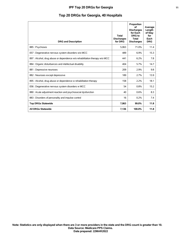| <b>DRG and Description</b>                                                 | <b>Total</b><br><b>Discharges</b><br>for DRG | Proportion<br>∩f<br><b>Discharges</b><br>for Each<br>DRG to<br><b>Total</b><br><b>Discharges</b> | Average<br>Length<br>of Stay<br>for<br>Each<br><b>DRG</b> |
|----------------------------------------------------------------------------|----------------------------------------------|--------------------------------------------------------------------------------------------------|-----------------------------------------------------------|
| 885: Psychoses                                                             | 5,063                                        | 71.0%                                                                                            | 11.4                                                      |
| 057 : Degenerative nervous system disorders w/o MCC                        | 489                                          | 6.9%                                                                                             | 15.3                                                      |
| 897 : Alcohol, drug abuse or dependence w/o rehabilitation therapy w/o MCC | 441                                          | 6.2%                                                                                             | 7.8                                                       |
| 884 : Organic disturbances and intellectual disability                     | 404                                          | 5.7%                                                                                             | 14.7                                                      |
| 881 : Depressive neuroses                                                  | 209                                          | 2.9%                                                                                             | 9.8                                                       |
| 882 : Neuroses except depressive                                           | 189                                          | 2.7%                                                                                             | 13.9                                                      |
| 895 : Alcohol, drug abuse or dependence w rehabilitation therapy           | 158                                          | 2.2%                                                                                             | 18.1                                                      |
| 056 : Degenerative nervous system disorders w MCC                          | 54                                           | 0.8%                                                                                             | 15.2                                                      |
| 880 : Acute adjustment reaction and psychosocial dysfunction               | 40                                           | 0.6%                                                                                             | 8.3                                                       |
| 883 : Disorders of personality and impulse control                         | 16                                           | 0.2%                                                                                             | 7.4                                                       |
| <b>Top DRGs Statewide</b>                                                  | 7,063                                        | 99.0%                                                                                            | 11.8                                                      |
| <b>All DRGs Statewide</b>                                                  | 7,136                                        | 100.0%                                                                                           | 11.8                                                      |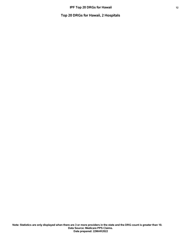**Top 20 DRGs for Hawaii, 2 Hospitals**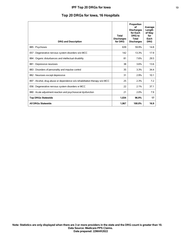## **IPF Top 20 DRGs for Iowa 13**

# **Top 20 DRGs for Iowa, 16 Hospitals**

| <b>DRG and Description</b>                                                 | <b>Total</b><br><b>Discharges</b><br>for DRG | Proportion<br>οf<br><b>Discharges</b><br>for Each<br>DRG to<br>Total<br><b>Discharges</b> | Average<br>Length<br>of Stay<br>for<br>Each<br><b>DRG</b> |
|----------------------------------------------------------------------------|----------------------------------------------|-------------------------------------------------------------------------------------------|-----------------------------------------------------------|
| 885: Psychoses                                                             | 639                                          | 59.9%                                                                                     | 14.8                                                      |
| 057 : Degenerative nervous system disorders w/o MCC                        | 142                                          | 13.3%                                                                                     | 17.9                                                      |
| 884 : Organic disturbances and intellectual disability                     | 81                                           | 7.6%                                                                                      | 29.5                                                      |
| 881 : Depressive neuroses                                                  | 38                                           | 3.6%                                                                                      | 13.6                                                      |
| 883 : Disorders of personality and impulse control                         | 35                                           | 3.3%                                                                                      | 34.4                                                      |
| 882 : Neuroses except depressive                                           | 31                                           | 2.9%                                                                                      | 10.1                                                      |
| 897 : Alcohol, drug abuse or dependence w/o rehabilitation therapy w/o MCC | 25                                           | 2.3%                                                                                      | 7.2                                                       |
| 056 : Degenerative nervous system disorders w MCC                          | 22                                           | 2.1%                                                                                      | 37.1                                                      |
| 880 : Acute adjustment reaction and psychosocial dysfunction               | 21                                           | 2.0%                                                                                      | 7.9                                                       |
| <b>Top DRGs Statewide</b>                                                  | 1,034                                        | 96.9%                                                                                     | 17                                                        |
| <b>All DRGs Statewide</b>                                                  | 1,067                                        | 100.0%                                                                                    | 16.9                                                      |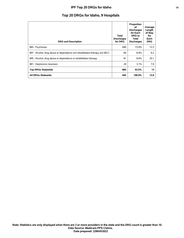## **IPF Top 20 DRGs for Idaho 14**

# **Top 20 DRGs for Idaho, 9 Hospitals**

| <b>DRG and Description</b>                                                 | Total<br><b>Discharges</b><br>for DRG | Proportion<br>οf<br><b>Discharges</b><br>for Each<br>DRG to<br>Total<br><b>Discharges</b> | Average<br>Length<br>of Stay<br>for<br>Each<br><b>DRG</b> |
|----------------------------------------------------------------------------|---------------------------------------|-------------------------------------------------------------------------------------------|-----------------------------------------------------------|
| 885: Psychoses                                                             | 690                                   | 73.0%                                                                                     | 13.3 <sub>1</sub>                                         |
| 897 : Alcohol, drug abuse or dependence w/o rehabilitation therapy w/o MCC | 84                                    | 8.9%                                                                                      | 6.2                                                       |
| 895 : Alcohol, drug abuse or dependence w rehabilitation therapy           | 81                                    | 8.6%                                                                                      | 20.1                                                      |
| 881 : Depressive neuroses                                                  | 29                                    | 3.1%                                                                                      | 7.9                                                       |
| <b>Top DRGs Statewide</b>                                                  | 884                                   | 93.5%                                                                                     | 13                                                        |
| <b>All DRGs Statewide</b>                                                  | 945                                   | 100.0%                                                                                    | 12.8                                                      |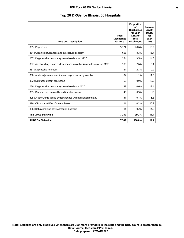## **IPF Top 20 DRGs for Illinois 15**

# **Top 20 DRGs for Illinois, 58 Hospitals**

| <b>DRG and Description</b>                                                 | <b>Total</b><br><b>Discharges</b><br>for DRG | Proportion<br>of<br><b>Discharges</b><br>for Each<br>DRG to<br><b>Total</b><br><b>Discharges</b> | Average<br>Length<br>of Stay<br>for<br>Each<br><b>DRG</b> |
|----------------------------------------------------------------------------|----------------------------------------------|--------------------------------------------------------------------------------------------------|-----------------------------------------------------------|
| 885: Psychoses                                                             | 5.774                                        | 78.6%                                                                                            | 10.9                                                      |
| 884 : Organic disturbances and intellectual disability                     | 608                                          | 8.3%                                                                                             | 16.4                                                      |
| 057 : Degenerative nervous system disorders w/o MCC                        | 254                                          | 3.5%                                                                                             | 14.8                                                      |
| 897 : Alcohol, drug abuse or dependence w/o rehabilitation therapy w/o MCC | 188                                          | 2.6%                                                                                             | 5.4                                                       |
| 881 : Depressive neuroses                                                  | 167                                          | 2.3%                                                                                             | 9.9                                                       |
| 880 : Acute adjustment reaction and psychosocial dysfunction               | 84                                           | 1.1%                                                                                             | 11.3                                                      |
| 882 : Neuroses except depressive                                           | 67                                           | 0.9%                                                                                             | 10.2                                                      |
| 056 : Degenerative nervous system disorders w MCC                          | 47                                           | 0.6%                                                                                             | 19.4                                                      |
| 883 : Disorders of personality and impulse control                         | 40                                           | 0.5%                                                                                             | 10                                                        |
| 895 : Alcohol, drug abuse or dependence w rehabilitation therapy           | 31                                           | 0.4%                                                                                             | 6.8                                                       |
| 876 : OR procs w PDx of mental illness                                     | 11                                           | 0.2%                                                                                             | 20.2                                                      |
| 886 : Behavioral and developmental disorders                               | 11                                           | 0.2%                                                                                             | 14.5                                                      |
| <b>Top DRGs Statewide</b>                                                  | 7,282                                        | 99.2%                                                                                            | 11.4                                                      |
| <b>All DRGs Statewide</b>                                                  | 7,342                                        | 100.0%                                                                                           | 11.4                                                      |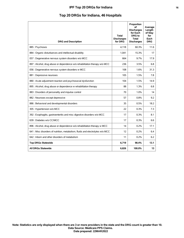## **IPF Top 20 DRGs for Indiana 16**

# **Top 20 DRGs for Indiana, 46 Hospitals**

| <b>DRG and Description</b>                                                     | <b>Total</b><br><b>Discharges</b><br>for DRG | Proportion<br>οf<br><b>Discharges</b><br>for Each<br><b>DRG</b> to<br><b>Total</b><br><b>Discharges</b> | Average<br>Length<br>of Stav<br>for<br>Each<br><b>DRG</b> |
|--------------------------------------------------------------------------------|----------------------------------------------|---------------------------------------------------------------------------------------------------------|-----------------------------------------------------------|
| 885: Psychoses                                                                 | 4.118                                        | 60.3%                                                                                                   | 11.6                                                      |
| 884 : Organic disturbances and intellectual disability                         | 1.041                                        | 15.3%                                                                                                   | 17                                                        |
| 057 : Degenerative nervous system disorders w/o MCC                            | 664                                          | 9.7%                                                                                                    | 17.9                                                      |
| 897 : Alcohol, drug abuse or dependence w/o rehabilitation therapy w/o MCC     | 236                                          | 3.5%                                                                                                    | 6.8                                                       |
| 056 : Degenerative nervous system disorders w MCC                              | 108                                          | 1.6%                                                                                                    | 31.3                                                      |
| 881 : Depressive neuroses                                                      | 105                                          | 1.5%                                                                                                    | 7.8                                                       |
| 880 : Acute adjustment reaction and psychosocial dysfunction                   | 104                                          | 1.5%                                                                                                    | 14.9                                                      |
| 895 : Alcohol, drug abuse or dependence w rehabilitation therapy               | 88                                           | 1.3%                                                                                                    | 6.8                                                       |
| 883 : Disorders of personality and impulse control                             | 70                                           | 1.0%                                                                                                    | 14                                                        |
| 882 : Neuroses except depressive                                               | 57                                           | 0.8%                                                                                                    | 9.2                                                       |
| 886 : Behavioral and developmental disorders                                   | 35                                           | 0.5%                                                                                                    | 18.2                                                      |
| 305 : Hypertension w/o MCC                                                     | 22                                           | 0.3%                                                                                                    | 7.3                                                       |
| 392 : Esophagitis, gastroenteritis and misc digestive disorders w/o MCC        | 17                                           | 0.3%                                                                                                    | 8.1                                                       |
| 639 : Diabetes w/o CC/MCC                                                      | 17                                           | 0.3%                                                                                                    | 6.6                                                       |
| 896 : Alcohol, drug abuse or dependence w/o rehabilitation therapy w MCC       | 14                                           | 0.2%                                                                                                    | 17.1                                                      |
| 641 : Misc disorders of nutrition, metabolism, fluids and electrolytes w/o MCC | 12                                           | 0.2%                                                                                                    | 6.4                                                       |
| 642 : Inborn and other disorders of metabolism                                 | 11                                           | 0.2%                                                                                                    | 6.2                                                       |
| <b>Top DRGs Statewide</b>                                                      | 6,719                                        | 98.4%                                                                                                   | 13.1                                                      |
| <b>All DRGs Statewide</b>                                                      | 6,826                                        | 100.0%                                                                                                  | 13                                                        |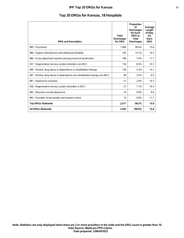## **IPF Top 20 DRGs for Kansas 17**

|  |  |  |  | Top 20 DRGs for Kansas, 18 Hospitals |  |  |  |
|--|--|--|--|--------------------------------------|--|--|--|
|--|--|--|--|--------------------------------------|--|--|--|

| <b>DRG and Description</b>                                                 | <b>Total</b><br><b>Discharges</b><br>for DRG | Proportion<br>οf<br><b>Discharges</b><br>for Each<br>DRG to<br><b>Total</b><br><b>Discharges</b> | Average<br>Length<br>of Stay<br>for<br>Each<br><b>DRG</b> |
|----------------------------------------------------------------------------|----------------------------------------------|--------------------------------------------------------------------------------------------------|-----------------------------------------------------------|
| 885: Psychoses                                                             | 1,496                                        | 58.4%                                                                                            | 15.6                                                      |
| 884 : Organic disturbances and intellectual disability                     | 335                                          | 13.1%                                                                                            | 16.3                                                      |
| 880 : Acute adjustment reaction and psychosocial dysfunction               | 189                                          | 7.4%                                                                                             | 17.1                                                      |
| 057 : Degenerative nervous system disorders w/o MCC                        | 154                                          | 6.0%                                                                                             | 25.1                                                      |
| 895 : Alcohol, drug abuse or dependence w rehabilitation therapy           | 136                                          | 5.3%                                                                                             | 14.1                                                      |
| 897 : Alcohol, drug abuse or dependence w/o rehabilitation therapy w/o MCC | 90                                           | 3.5%                                                                                             | 6.5                                                       |
| 881 : Depressive neuroses                                                  | 51                                           | 2.0%                                                                                             | 10.3                                                      |
| 056 : Degenerative nervous system disorders w MCC                          | 27                                           | 1.1%                                                                                             | 18.3                                                      |
| 882 : Neuroses except depressive                                           | 24                                           | 0.9%                                                                                             | 8.4                                                       |
| 883 : Disorders of personality and impulse control                         | 15                                           | 0.6%                                                                                             | 11.1                                                      |
| <b>Top DRGs Statewide</b>                                                  | 2,517                                        | 98.2%                                                                                            | 15.8                                                      |
| <b>All DRGs Statewide</b>                                                  | 2,562                                        | 100.0%                                                                                           | 15.8                                                      |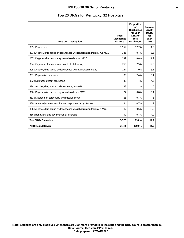## **IPF Top 20 DRGs for Kentucky 18**

# **Top 20 DRGs for Kentucky, 32 Hospitals**

| <b>DRG and Description</b>                                                 | <b>Total</b><br><b>Discharges</b><br>for DRG | Proportion<br>of<br><b>Discharges</b><br>for Each<br>DRG to<br><b>Total</b><br><b>Discharges</b> | Average<br>Length<br>of Stay<br>for<br>Each<br><b>DRG</b> |
|----------------------------------------------------------------------------|----------------------------------------------|--------------------------------------------------------------------------------------------------|-----------------------------------------------------------|
| 885: Psychoses                                                             | 1,967                                        | 57.7%                                                                                            | 11.5                                                      |
| 897 : Alcohol, drug abuse or dependence w/o rehabilitation therapy w/o MCC | 346                                          | 10.1%                                                                                            | 8.8                                                       |
| 057 : Degenerative nervous system disorders w/o MCC                        | 299                                          | 8.8%                                                                                             | 11.9                                                      |
| 884 : Organic disturbances and intellectual disability                     | 255                                          | 7.5%                                                                                             | 12.6                                                      |
| 895 : Alcohol, drug abuse or dependence w rehabilitation therapy           | 237                                          | 7.0%                                                                                             | 16.1                                                      |
| 881 : Depressive neuroses                                                  | 83                                           | 2.4%                                                                                             | 6.1                                                       |
| 882 : Neuroses except depressive                                           | 46                                           | 1.4%                                                                                             | 4.3                                                       |
| 894 : Alcohol, drug abuse or dependence, left AMA                          | 38                                           | 1.1%                                                                                             | 4.6                                                       |
| 056 : Degenerative nervous system disorders w MCC                          | 27                                           | 0.8%                                                                                             | 15.1                                                      |
| 883 : Disorders of personality and impulse control                         | 25                                           | 0.7%                                                                                             | 5                                                         |
| 880 : Acute adjustment reaction and psychosocial dysfunction               | 24                                           | 0.7%                                                                                             | 4.9                                                       |
| 896 : Alcohol, drug abuse or dependence w/o rehabilitation therapy w MCC   | 17                                           | 0.5%                                                                                             | 10.5                                                      |
| 886 : Behavioral and developmental disorders                               | 12                                           | 0.4%                                                                                             | 4.9                                                       |
| <b>Top DRGs Statewide</b>                                                  | 3,376                                        | 99.0%                                                                                            | 11.2                                                      |
| <b>All DRGs Statewide</b>                                                  | 3.411                                        | 100.0%                                                                                           | 11.2                                                      |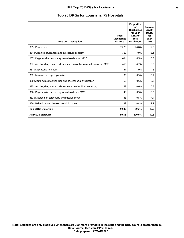## **IPF Top 20 DRGs for Louisiana 19**

# **Top 20 DRGs for Louisiana, 75 Hospitals**

| <b>DRG and Description</b>                                                 | <b>Total</b><br><b>Discharges</b><br>for DRG | Proportion<br>∩f<br><b>Discharges</b><br>for Each<br>DRG to<br><b>Total</b><br><b>Discharges</b> | Average<br>Length<br>of Stay<br>for<br>Each<br><b>DRG</b> |
|----------------------------------------------------------------------------|----------------------------------------------|--------------------------------------------------------------------------------------------------|-----------------------------------------------------------|
| 885: Psychoses                                                             | 7,228                                        | 74.8%                                                                                            | 12.3                                                      |
| 884 : Organic disturbances and intellectual disability                     | 760                                          | 7.9%                                                                                             | 15.1                                                      |
| 057 : Degenerative nervous system disorders w/o MCC                        | 624                                          | 6.5%                                                                                             | 15.3                                                      |
| 897 : Alcohol, drug abuse or dependence w/o rehabilitation therapy w/o MCC | 455                                          | 4.7%                                                                                             | 8.3                                                       |
| 881 : Depressive neuroses                                                  | 181                                          | 1.9%                                                                                             | 8                                                         |
| 882 : Neuroses except depressive                                           | 90                                           | 0.9%                                                                                             | 16.7                                                      |
| 880 : Acute adjustment reaction and psychosocial dysfunction               | 60                                           | 0.6%                                                                                             | 9.6                                                       |
| 895 : Alcohol, drug abuse or dependence w rehabilitation therapy           | 59                                           | 0.6%                                                                                             | 6.8                                                       |
| 056 : Degenerative nervous system disorders w MCC                          | 43                                           | 0.5%                                                                                             | 13.5                                                      |
| 883 : Disorders of personality and impulse control                         | 43                                           | 0.5%                                                                                             | 17.4                                                      |
| 886 : Behavioral and developmental disorders                               | 39                                           | 0.4%                                                                                             | 17.7                                                      |
| <b>Top DRGs Statewide</b>                                                  | 9,582                                        | 99.2%                                                                                            | 12.5                                                      |
| <b>All DRGs Statewide</b>                                                  | 9,658                                        | 100.0%                                                                                           | 12.5                                                      |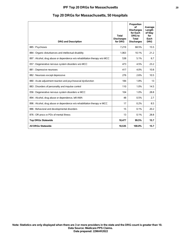## **IPF Top 20 DRGs for Massachusetts 20**

| <b>DRG and Description</b>                                                 | <b>Total</b><br><b>Discharges</b><br>for DRG | Proportion<br>of<br><b>Discharges</b><br>for Each<br>DRG to<br><b>Total</b><br><b>Discharges</b> | Average<br>Length<br>of Stay<br>for<br>Each<br><b>DRG</b> |
|----------------------------------------------------------------------------|----------------------------------------------|--------------------------------------------------------------------------------------------------|-----------------------------------------------------------|
| 885: Psychoses                                                             | 7,219                                        | 68.5%                                                                                            | 15.5                                                      |
| 884 : Organic disturbances and intellectual disability                     | 1.063                                        | 10.1%                                                                                            | 21.2                                                      |
| 897 : Alcohol, drug abuse or dependence w/o rehabilitation therapy w/o MCC | 538                                          | 5.1%                                                                                             | 6.7                                                       |
| 057 : Degenerative nervous system disorders w/o MCC                        | 473                                          | 4.5%                                                                                             | 23.2                                                      |
| 881 : Depressive neuroses                                                  | 417                                          | 4.0%                                                                                             | 10.8                                                      |
| 882 : Neuroses except depressive                                           | 276                                          | 2.6%                                                                                             | 10.5                                                      |
| 880 : Acute adjustment reaction and psychosocial dysfunction               | 184                                          | 1.8%                                                                                             | 13                                                        |
| 883 : Disorders of personality and impulse control                         | 110                                          | 1.0%                                                                                             | 14.5                                                      |
| 056 : Degenerative nervous system disorders w MCC                          | 104                                          | 1.0%                                                                                             | 28.8                                                      |
| 894 : Alcohol, drug abuse or dependence, left AMA                          | 48                                           | 0.5%                                                                                             | 2.7                                                       |
| 896 : Alcohol, drug abuse or dependence w/o rehabilitation therapy w MCC   | 17                                           | 0.2%                                                                                             | 8.5                                                       |
| 886 : Behavioral and developmental disorders                               | 15                                           | 0.1%                                                                                             | 20.2                                                      |
| 876 : OR procs w PDx of mental illness                                     | 13                                           | 0.1%                                                                                             | 28.8                                                      |
| <b>Top DRGs Statewide</b>                                                  | 10,477                                       | 99.5%                                                                                            | 15.7                                                      |
| <b>All DRGs Statewide</b>                                                  | 10.535                                       | 100.0%                                                                                           | 15.7                                                      |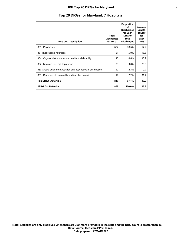## **IPF Top 20 DRGs for Maryland 21**

# **Top 20 DRGs for Maryland, 7 Hospitals**

| <b>DRG and Description</b>                                   | <b>Total</b><br><b>Discharges</b><br>for DRG | Proportion<br>οf<br><b>Discharges</b><br>for Each<br>DRG to<br>Total<br><b>Discharges</b> | Average<br>Length<br>of Stay<br>for<br>Each<br><b>DRG</b> |
|--------------------------------------------------------------|----------------------------------------------|-------------------------------------------------------------------------------------------|-----------------------------------------------------------|
| 885: Psychoses                                               | 682                                          | 78.6%                                                                                     | 17.2                                                      |
| 881 : Depressive neuroses                                    | 51                                           | 5.9%                                                                                      | 13.3                                                      |
| 884 : Organic disturbances and intellectual disability       | 40                                           | 4.6%                                                                                      | 33.2                                                      |
| 882 : Neuroses except depressive                             | 33                                           | 3.8%                                                                                      | 25.8                                                      |
| 880 : Acute adjustment reaction and psychosocial dysfunction | 20                                           | 2.3%                                                                                      | 9.2                                                       |
| 883 : Disorders of personality and impulse control           | 19                                           | 2.2%                                                                                      | 31.7                                                      |
| <b>Top DRGs Statewide</b>                                    | 845                                          | 97.4%                                                                                     | 18.2                                                      |
| <b>All DRGs Statewide</b>                                    | 868                                          | 100.0%                                                                                    | 18.3                                                      |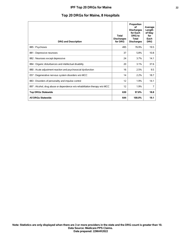## **IPF Top 20 DRGs for Maine 22**

# **Top 20 DRGs for Maine, 8 Hospitals**

| <b>DRG and Description</b>                                                 | <b>Total</b><br><b>Discharges</b><br>for DRG | Proportion<br>οf<br><b>Discharges</b><br>for Each<br>DRG to<br>Total<br><b>Discharges</b> | Average<br>Length<br>of Stay<br>for<br>Each<br><b>DRG</b> |
|----------------------------------------------------------------------------|----------------------------------------------|-------------------------------------------------------------------------------------------|-----------------------------------------------------------|
| 885: Psychoses                                                             | 495                                          | 76.9%                                                                                     | 19.5                                                      |
| 881 : Depressive neuroses                                                  | 37                                           | 5.8%                                                                                      | 10.8                                                      |
| 882 : Neuroses except depressive                                           | 24                                           | 3.7%                                                                                      | 14.1                                                      |
| 884 : Organic disturbances and intellectual disability                     | 20                                           | 3.1%                                                                                      | 37.6                                                      |
| 880 : Acute adjustment reaction and psychosocial dysfunction               | 16                                           | 2.5%                                                                                      | 9.5                                                       |
| 057 : Degenerative nervous system disorders w/o MCC                        | 14                                           | 2.2%                                                                                      | 18.7                                                      |
| 883 : Disorders of personality and impulse control                         | 12                                           | 1.9%                                                                                      | 14.1                                                      |
| 897 : Alcohol, drug abuse or dependence w/o rehabilitation therapy w/o MCC | 12                                           | 1.9%                                                                                      | 7                                                         |
| <b>Top DRGs Statewide</b>                                                  | 630                                          | 97.8%                                                                                     | 18.8                                                      |
| <b>All DRGs Statewide</b>                                                  | 644                                          | 100.0%                                                                                    | 19.1                                                      |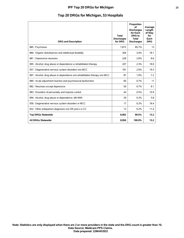## **IPF Top 20 DRGs for Michigan 23**

# **Top 20 DRGs for Michigan, 53 Hospitals**

| <b>DRG and Description</b>                                                 | <b>Total</b><br><b>Discharges</b><br>for DRG | Proportion<br>οf<br><b>Discharges</b><br>for Each<br>DRG to<br><b>Total</b><br><b>Discharges</b> | Average<br>Length<br>of Stay<br>for<br>Each<br><b>DRG</b> |
|----------------------------------------------------------------------------|----------------------------------------------|--------------------------------------------------------------------------------------------------|-----------------------------------------------------------|
| 885: Psychoses                                                             | 7,673                                        | 85.7%                                                                                            | 13                                                        |
| 884 : Organic disturbances and intellectual disability                     | 304                                          | 3.4%                                                                                             | 18.1                                                      |
| 881 : Depressive neuroses                                                  | 228                                          | 2.6%                                                                                             | 8.6                                                       |
| 895 : Alcohol, drug abuse or dependence w rehabilitation therapy           | 207                                          | 2.3%                                                                                             | 18.9                                                      |
| 057 : Degenerative nervous system disorders w/o MCC                        | 181                                          | 2.0%                                                                                             | 19.3                                                      |
| 897 : Alcohol, drug abuse or dependence w/o rehabilitation therapy w/o MCC | 87                                           | 1.0%                                                                                             | 7.2                                                       |
| 880 : Acute adjustment reaction and psychosocial dysfunction               | 60                                           | 0.7%                                                                                             | 11                                                        |
| 882 : Neuroses except depressive                                           | 59                                           | 0.7%                                                                                             | 8.1                                                       |
| 883 : Disorders of personality and impulse control                         | 44                                           | 0.5%                                                                                             | 10.9                                                      |
| 894 : Alcohol, drug abuse or dependence, left AMA                          | 29                                           | 0.3%                                                                                             | 5.8                                                       |
| 056 : Degenerative nervous system disorders w MCC                          | 17                                           | 0.2%                                                                                             | 18.4                                                      |
| 832 : Other antepartum diagnoses w/o OR procs w CC                         | 13                                           | 0.2%                                                                                             | 11.4                                                      |
| <b>Top DRGs Statewide</b>                                                  | 8,902                                        | 99.5%                                                                                            | 13.2                                                      |
| <b>All DRGs Statewide</b>                                                  | 8,950                                        | 100.0%                                                                                           | 13.2                                                      |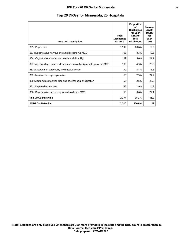## **IPF Top 20 DRGs for Minnesota 24**

# **Top 20 DRGs for Minnesota, 25 Hospitals**

| <b>DRG and Description</b>                                                 | <b>Total</b><br><b>Discharges</b><br>for DRG | Proportion<br>οf<br><b>Discharges</b><br>for Each<br>DRG to<br>Total<br><b>Discharges</b> | Average<br>Length<br>of Stay<br>for<br>Each<br><b>DRG</b> |
|----------------------------------------------------------------------------|----------------------------------------------|-------------------------------------------------------------------------------------------|-----------------------------------------------------------|
| 885: Psychoses                                                             | 1,592                                        | 68.6%                                                                                     | 18.3                                                      |
| 057 : Degenerative nervous system disorders w/o MCC                        | 193                                          | 8.3%                                                                                      | 19.8                                                      |
| 884 : Organic disturbances and intellectual disability                     | 129                                          | 5.6%                                                                                      | 21.1                                                      |
| 897 : Alcohol, drug abuse or dependence w/o rehabilitation therapy w/o MCC | 100                                          | 4.3%                                                                                      | 26.9                                                      |
| 883 : Disorders of personality and impulse control                         | 79                                           | 3.4%                                                                                      | 11.5                                                      |
| 882 : Neuroses except depressive                                           | 68                                           | 2.9%                                                                                      | 24.2                                                      |
| 880 : Acute adjustment reaction and psychosocial dysfunction               | 58                                           | 2.5%                                                                                      | 20.8                                                      |
| 881 : Depressive neuroses                                                  | 45                                           | 1.9%                                                                                      | 14.2                                                      |
| 056 : Degenerative nervous system disorders w MCC                          | 13                                           | 0.6%                                                                                      | 22.1                                                      |
| <b>Top DRGs Statewide</b>                                                  | 2,277                                        | 98.2%                                                                                     | 18.9                                                      |
| <b>All DRGs Statewide</b>                                                  | 2,320                                        | 100.0%                                                                                    | 19                                                        |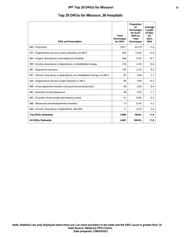## **IPF Top 20 DRGs for Missouri 25**

# **Top 20 DRGs for Missouri, 36 Hospitals**

| <b>DRG and Description</b>                                                 | <b>Total</b><br><b>Discharges</b><br>for DRG | Proportion<br>of<br><b>Discharges</b><br>for Each<br>DRG to<br><b>Total</b><br><b>Discharges</b> | Average<br>Length<br>of Stay<br>for<br>Each<br><b>DRG</b> |
|----------------------------------------------------------------------------|----------------------------------------------|--------------------------------------------------------------------------------------------------|-----------------------------------------------------------|
| 885: Psychoses                                                             | 3,071                                        | 63.1%                                                                                            | 11.6                                                      |
| 057 : Degenerative nervous system disorders w/o MCC                        | 626                                          | 12.9%                                                                                            | 12.9                                                      |
| 884 : Organic disturbances and intellectual disability                     | 449                                          | 9.2%                                                                                             | 14.1                                                      |
| 895 : Alcohol, drug abuse or dependence w rehabilitation therapy           | 216                                          | 4.4%                                                                                             | 13.4                                                      |
| 881 : Depressive neuroses                                                  | 105                                          | 2.2%                                                                                             | 8.2                                                       |
| 897 : Alcohol, drug abuse or dependence w/o rehabilitation therapy w/o MCC | 87                                           | 1.8%                                                                                             | 5.7                                                       |
| 056 : Degenerative nervous system disorders w MCC                          | 85                                           | 1.8%                                                                                             | 14.5                                                      |
| 880 : Acute adjustment reaction and psychosocial dysfunction               | 48                                           | 1.0%                                                                                             | 8.4                                                       |
| 882 : Neuroses except depressive                                           | 48                                           | 1.0%                                                                                             | 7.1                                                       |
| 883 : Disorders of personality and impulse control                         | 41                                           | 0.8%                                                                                             | 6.2                                                       |
| 886 : Behavioral and developmental disorders                               | 13                                           | 0.3%                                                                                             | 5.2                                                       |
| 894 : Alcohol, drug abuse or dependence, left AMA                          | 11                                           | 0.2%                                                                                             | 4.4                                                       |
| <b>Top DRGs Statewide</b>                                                  | 4.800                                        | 98.6%                                                                                            | 11.8                                                      |
| <b>All DRGs Statewide</b>                                                  | 4,867                                        | 100.0%                                                                                           | 11.8                                                      |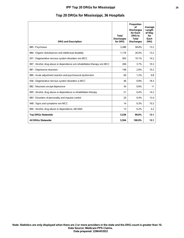## **IPF Top 20 DRGs for Mississippi 26**

|  |  |  |  | Top 20 DRGs for Mississippi, 36 Hospitals |  |  |  |  |  |
|--|--|--|--|-------------------------------------------|--|--|--|--|--|
|--|--|--|--|-------------------------------------------|--|--|--|--|--|

| <b>DRG and Description</b>                                                 | <b>Total</b><br><b>Discharges</b><br>for DRG | Proportion<br>οf<br><b>Discharges</b><br>for Each<br><b>DRG</b> to<br><b>Total</b><br><b>Discharges</b> | Average<br>Length<br>of Stay<br>for<br>Each<br><b>DRG</b> |
|----------------------------------------------------------------------------|----------------------------------------------|---------------------------------------------------------------------------------------------------------|-----------------------------------------------------------|
| 885: Psychoses                                                             | 3,288                                        | 58.8%                                                                                                   | 13.2                                                      |
| 884 : Organic disturbances and intellectual disability                     | 1,118                                        | 20.0%                                                                                                   | 13.2                                                      |
| 057 : Degenerative nervous system disorders w/o MCC                        | 563                                          | 10.1%                                                                                                   | 14.2                                                      |
| 897 : Alcohol, drug abuse or dependence w/o rehabilitation therapy w/o MCC | 206                                          | 3.7%                                                                                                    | 10.3                                                      |
| 881 : Depressive neuroses                                                  | 146                                          | 2.6%                                                                                                    | 10.2                                                      |
| 880 : Acute adjustment reaction and psychosocial dysfunction               | 69                                           | 1.2%                                                                                                    | 9.8                                                       |
| 056 : Degenerative nervous system disorders w MCC                          | 46                                           | 0.8%                                                                                                    | 18.3                                                      |
| 882 : Neuroses except depressive                                           | 34                                           | 0.6%                                                                                                    | 11                                                        |
| 895 : Alcohol, drug abuse or dependence w rehabilitation therapy           | 21                                           | 0.4%                                                                                                    | 14.2                                                      |
| 883 : Disorders of personality and impulse control                         | 20                                           | 0.4%                                                                                                    | 13.4                                                      |
| 948 : Signs and symptoms w/o MCC                                           | 14                                           | 0.3%                                                                                                    | 10.2                                                      |
| 894 : Alcohol, drug abuse or dependence, left AMA                          | 13                                           | 0.2%                                                                                                    | 4.2                                                       |
| <b>Top DRGs Statewide</b>                                                  | 5,538                                        | 99.0%                                                                                                   | 13.1                                                      |
| <b>All DRGs Statewide</b>                                                  | 5.594                                        | 100.0%                                                                                                  | 13.1                                                      |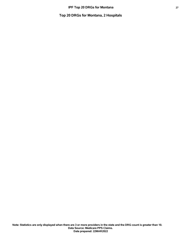**Top 20 DRGs for Montana, 2 Hospitals**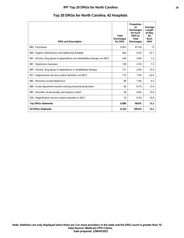## **IPF Top 20 DRGs for North Carolina 28**

|  |  |  |  |  | Top 20 DRGs for North Carolina, 42 Hospitals |  |  |  |
|--|--|--|--|--|----------------------------------------------|--|--|--|
|--|--|--|--|--|----------------------------------------------|--|--|--|

| <b>DRG and Description</b>                                                 | Total<br><b>Discharges</b><br>for DRG | Proportion<br>∩f<br><b>Discharges</b><br>for Each<br><b>DRG</b> to<br><b>Total</b><br><b>Discharges</b> | Average<br>Length<br>of Stay<br>for<br>Each<br><b>DRG</b> |
|----------------------------------------------------------------------------|---------------------------------------|---------------------------------------------------------------------------------------------------------|-----------------------------------------------------------|
| 885 : Psychoses                                                            | 5,022                                 | 81.5%                                                                                                   | 13                                                        |
| 884 : Organic disturbances and intellectual disability                     | 264                                   | 4.3%                                                                                                    | 22.7                                                      |
| 897 : Alcohol, drug abuse or dependence w/o rehabilitation therapy w/o MCC | 240                                   | 3.9%                                                                                                    | 7.2                                                       |
| 881 : Depressive neuroses                                                  | 139                                   | 2.3%                                                                                                    | 7.3                                                       |
| 895 : Alcohol, drug abuse or dependence w rehabilitation therapy           | 121                                   | 2.0%                                                                                                    | 10.4                                                      |
| 057 : Degenerative nervous system disorders w/o MCC                        | 115                                   | 1.9%                                                                                                    | 22.4                                                      |
| 882 : Neuroses except depressive                                           | 89                                    | 1.4%                                                                                                    | 9.3                                                       |
| 880 : Acute adjustment reaction and psychosocial dysfunction               | 44                                    | 0.7%                                                                                                    | 12.4                                                      |
| 883 : Disorders of personality and impulse control                         | 38                                    | 0.6%                                                                                                    | 10.6                                                      |
| 056 : Degenerative nervous system disorders w MCC                          | 16                                    | 0.3%                                                                                                    | 33.9                                                      |
| <b>Top DRGs Statewide</b>                                                  | 6,088                                 | 98.8%                                                                                                   | 13.2                                                      |
| <b>All DRGs Statewide</b>                                                  | 6,164                                 | 100.0%                                                                                                  | 13.2                                                      |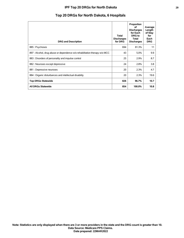## **IPF Top 20 DRGs for North Dakota 29**

# **Top 20 DRGs for North Dakota, 6 Hospitals**

| <b>DRG and Description</b>                                                 | <b>Total</b><br><b>Discharges</b><br>for DRG | Proportion<br>οf<br><b>Discharges</b><br>for Each<br><b>DRG</b> to<br>Total<br><b>Discharges</b> | Average<br>Length<br>of Stay<br>for<br>Each<br><b>DRG</b> |
|----------------------------------------------------------------------------|----------------------------------------------|--------------------------------------------------------------------------------------------------|-----------------------------------------------------------|
| 885: Psychoses                                                             | 694                                          | 81.3%                                                                                            | 11                                                        |
| 897 : Alcohol, drug abuse or dependence w/o rehabilitation therapy w/o MCC | 43                                           | 5.0%                                                                                             | 9.9                                                       |
| 883 : Disorders of personality and impulse control                         | 25                                           | 2.9%                                                                                             | 8.7                                                       |
| 882 : Neuroses except depressive                                           | 24                                           | 2.8%                                                                                             | 3.8                                                       |
| 881 : Depressive neuroses                                                  | 20                                           | 2.3%                                                                                             | 4.7                                                       |
| 884 : Organic disturbances and intellectual disability                     | 20                                           | 2.3%                                                                                             | 19.6                                                      |
| <b>Top DRGs Statewide</b>                                                  | 826                                          | 96.7%                                                                                            | 10.7                                                      |
| <b>All DRGs Statewide</b>                                                  | 854                                          | 100.0%                                                                                           | 10.8                                                      |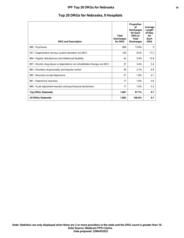## **IPF Top 20 DRGs for Nebraska** 30

# **Top 20 DRGs for Nebraska, 9 Hospitals**

| <b>DRG and Description</b>                                                 | <b>Total</b><br><b>Discharges</b><br>for DRG | Proportion<br>οf<br><b>Discharges</b><br>for Each<br><b>DRG</b> to<br>Total<br><b>Discharges</b> | Average<br>Length<br>of Stay<br>for<br>Each<br><b>DRG</b> |
|----------------------------------------------------------------------------|----------------------------------------------|--------------------------------------------------------------------------------------------------|-----------------------------------------------------------|
| 885: Psychoses                                                             | 806                                          | 73.8%                                                                                            | 9                                                         |
| 057 : Degenerative nervous system disorders w/o MCC                        | 104                                          | 9.5%                                                                                             | 17.2                                                      |
| 884 : Organic disturbances and intellectual disability                     | 42                                           | 3.9%                                                                                             | 15.9                                                      |
| 897 : Alcohol, drug abuse or dependence w/o rehabilitation therapy w/o MCC | 37                                           | 3.4%                                                                                             | 5.4                                                       |
| 883 : Disorders of personality and impulse control                         | 29                                           | 2.7%                                                                                             | 6.9                                                       |
| 882 : Neuroses except depressive                                           | 21                                           | 1.9%                                                                                             | 4.1                                                       |
| 881 : Depressive neuroses                                                  | 17                                           | 1.6%                                                                                             | 5.6                                                       |
| 880 : Acute adjustment reaction and psychosocial dysfunction               | 11                                           | 1.0%                                                                                             | 4.3                                                       |
| <b>Top DRGs Statewide</b>                                                  | 1,067                                        | 97.7%                                                                                            | 9.7                                                       |
| <b>All DRGs Statewide</b>                                                  | 1,092                                        | 100.0%                                                                                           | 9.7                                                       |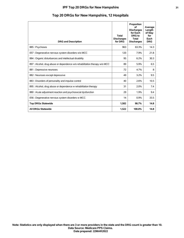## **IPF Top 20 DRGs for New Hampshire 31**

| <b>DRG and Description</b>                                                 | Total<br><b>Discharges</b><br>for DRG | Proportion<br>οf<br><b>Discharges</b><br>for Each<br>DRG to<br>Total<br><b>Discharges</b> | Average<br>Length<br>of Stay<br>for<br>Each<br><b>DRG</b> |
|----------------------------------------------------------------------------|---------------------------------------|-------------------------------------------------------------------------------------------|-----------------------------------------------------------|
| 885: Psychoses                                                             | 963                                   | 63.3%                                                                                     | 14.3                                                      |
| 057 : Degenerative nervous system disorders w/o MCC                        | 120                                   | 7.9%                                                                                      | 21.8                                                      |
| 884 : Organic disturbances and intellectual disability                     | 95                                    | 6.2%                                                                                      | 30.3                                                      |
| 897 : Alcohol, drug abuse or dependence w/o rehabilitation therapy w/o MCC | 89                                    | 5.9%                                                                                      | 6.5                                                       |
| 881 : Depressive neuroses                                                  | 72                                    | 4.7%                                                                                      | 8                                                         |
| 882 : Neuroses except depressive                                           | 49                                    | 3.2%                                                                                      | 9.5                                                       |
| 883 : Disorders of personality and impulse control                         | 40                                    | 2.6%                                                                                      | 10.5                                                      |
| 895 : Alcohol, drug abuse or dependence w rehabilitation therapy           | 31                                    | 2.0%                                                                                      | 7.4                                                       |
| 880 : Acute adjustment reaction and psychosocial dysfunction               | 29                                    | 1.9%                                                                                      | 9.4                                                       |
| 056 : Degenerative nervous system disorders w MCC                          | 14                                    | 0.9%                                                                                      | 33.5                                                      |
| <b>Top DRGs Statewide</b>                                                  | 1,502                                 | 98.7%                                                                                     | 14.8                                                      |
| <b>All DRGs Statewide</b>                                                  | 1,522                                 | 100.0%                                                                                    | 14.8                                                      |

# **Top 20 DRGs for New Hampshire, 12 Hospitals**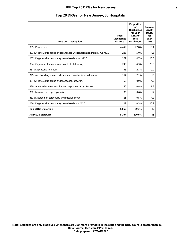| <b>DRG and Description</b>                                                 | <b>Total</b><br><b>Discharges</b><br>for DRG | Proportion<br>οf<br><b>Discharges</b><br>for Each<br>DRG to<br><b>Total</b><br><b>Discharges</b> | Average<br>Length<br>of Stay<br>for<br>Each<br><b>DRG</b> |
|----------------------------------------------------------------------------|----------------------------------------------|--------------------------------------------------------------------------------------------------|-----------------------------------------------------------|
| 885: Psychoses                                                             | 4,442                                        | 77.8%                                                                                            | 16.1                                                      |
| 897 : Alcohol, drug abuse or dependence w/o rehabilitation therapy w/o MCC | 285                                          | 5.0%                                                                                             | 7.8                                                       |
| 057 : Degenerative nervous system disorders w/o MCC                        | 269                                          | 4.7%                                                                                             | 23.8                                                      |
| 884 : Organic disturbances and intellectual disability                     | 246                                          | 4.3%                                                                                             | 20.2                                                      |
| 881 : Depressive neuroses                                                  | 133                                          | 2.3%                                                                                             | 10.9                                                      |
| 895 : Alcohol, drug abuse or dependence w rehabilitation therapy           | 117                                          | 2.1%                                                                                             | 18                                                        |
| 894 : Alcohol, drug abuse or dependence, left AMA                          | 50                                           | 0.9%                                                                                             | 4.9                                                       |
| 880 : Acute adjustment reaction and psychosocial dysfunction               | 46                                           | 0.8%                                                                                             | 11.3                                                      |
| 882 : Neuroses except depressive                                           | 35                                           | 0.6%                                                                                             | 12                                                        |
| 883 : Disorders of personality and impulse control                         | 26                                           | 0.5%                                                                                             | 7.2                                                       |
| 056 : Degenerative nervous system disorders w MCC                          | 19                                           | 0.3%                                                                                             | 26.2                                                      |
| <b>Top DRGs Statewide</b>                                                  | 5,668                                        | 99.3%                                                                                            | 16                                                        |
| <b>All DRGs Statewide</b>                                                  | 5,707                                        | 100.0%                                                                                           | 16                                                        |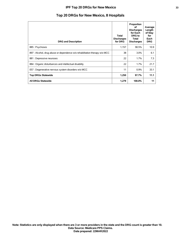## **IPF Top 20 DRGs for New Mexico 33**

# **Top 20 DRGs for New Mexico, 8 Hospitals**

| <b>DRG and Description</b>                                                 | Total<br><b>Discharges</b><br>for DRG | Proportion<br>οf<br><b>Discharges</b><br>for Each<br>DRG to<br>Total<br><b>Discharges</b> | Average<br>Length<br>of Stay<br>for<br>Each<br><b>DRG</b> |
|----------------------------------------------------------------------------|---------------------------------------|-------------------------------------------------------------------------------------------|-----------------------------------------------------------|
| 885 : Psychoses                                                            | 1,157                                 | 90.5%                                                                                     | 10.9                                                      |
| 897 : Alcohol, drug abuse or dependence w/o rehabilitation therapy w/o MCC | 38                                    | 3.0%                                                                                      | 6.1                                                       |
| 881 : Depressive neuroses                                                  | 22                                    | 1.7%                                                                                      | 7.3                                                       |
| 884 : Organic disturbances and intellectual disability                     | 22                                    | 1.7%                                                                                      | 21.7                                                      |
| 057 : Degenerative nervous system disorders w/o MCC                        | 11                                    | 0.9%                                                                                      | 33.1                                                      |
| <b>Top DRGs Statewide</b>                                                  | 1,250                                 | 97.7%                                                                                     | 11.1                                                      |
| All DRGs Statewide                                                         | 1,279                                 | 100.0%                                                                                    | 11                                                        |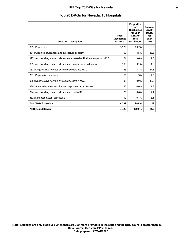## **IPF Top 20 DRGs for Nevada 34**

# **Top 20 DRGs for Nevada, 16 Hospitals**

| <b>DRG and Description</b>                                                 | <b>Total</b><br><b>Discharges</b><br>for DRG | Proportion<br>οf<br><b>Discharges</b><br>for Each<br>DRG to<br>Total<br><b>Discharges</b> | Average<br>Length<br>of Stay<br>for<br>Each<br><b>DRG</b> |
|----------------------------------------------------------------------------|----------------------------------------------|-------------------------------------------------------------------------------------------|-----------------------------------------------------------|
| 885: Psychoses                                                             | 3,572                                        | 80.7%                                                                                     | 10.9                                                      |
| 884 : Organic disturbances and intellectual disability                     | 199                                          | 4.5%                                                                                      | 23.3                                                      |
| 897 : Alcohol, drug abuse or dependence w/o rehabilitation therapy w/o MCC | 161                                          | 3.6%                                                                                      | 7.3                                                       |
| 895 : Alcohol, drug abuse or dependence w rehabilitation therapy           | 139                                          | 3.1%                                                                                      | 11.8                                                      |
| 057 : Degenerative nervous system disorders w/o MCC                        | 136                                          | 3.1%                                                                                      | 27.3                                                      |
| 881 : Depressive neuroses                                                  | 66                                           | 1.5%                                                                                      | 7.8                                                       |
| 056 : Degenerative nervous system disorders w MCC                          | 39                                           | 0.9%                                                                                      | 30.8                                                      |
| 880 : Acute adjustment reaction and psychosocial dysfunction               | 26                                           | 0.6%                                                                                      | 11.8                                                      |
| 894 : Alcohol, drug abuse or dependence, left AMA                          | 25                                           | 0.6%                                                                                      | 4.4                                                       |
| 882 : Neuroses except depressive                                           | 19                                           | $0.4\%$                                                                                   | 5.1                                                       |
| <b>Top DRGs Statewide</b>                                                  | 4,382                                        | 99.0%                                                                                     | 12                                                        |
| <b>All DRGs Statewide</b>                                                  | 4.426                                        | 100.0%                                                                                    | 11.9                                                      |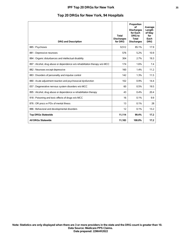|  |  | Top 20 DRGs for New York, 94 Hospitals |  |  |  |  |  |  |  |
|--|--|----------------------------------------|--|--|--|--|--|--|--|
|--|--|----------------------------------------|--|--|--|--|--|--|--|

| <b>DRG and Description</b>                                                 | <b>Total</b><br><b>Discharges</b><br>for DRG | Proportion<br>of<br><b>Discharges</b><br>for Each<br><b>DRG</b> to<br><b>Total</b><br><b>Discharges</b> | Average<br>Length<br>of Stay<br>for<br>Each<br><b>DRG</b> |
|----------------------------------------------------------------------------|----------------------------------------------|---------------------------------------------------------------------------------------------------------|-----------------------------------------------------------|
| 885: Psychoses                                                             | 9,512                                        | 85.1%                                                                                                   | 17.9                                                      |
| 881 : Depressive neuroses                                                  | 576                                          | 5.2%                                                                                                    | 10.9                                                      |
| 884 : Organic disturbances and intellectual disability                     | 304                                          | 2.7%                                                                                                    | 19.3                                                      |
| 897 : Alcohol, drug abuse or dependence w/o rehabilitation therapy w/o MCC | 174                                          | 1.6%                                                                                                    | 7.4                                                       |
| 882 : Neuroses except depressive                                           | 160                                          | 1.4%                                                                                                    | 11.2                                                      |
| 883 : Disorders of personality and impulse control                         | 142                                          | 1.3%                                                                                                    | 11.5                                                      |
| 880 : Acute adjustment reaction and psychosocial dysfunction               | 102                                          | 0.9%                                                                                                    | 14.4                                                      |
| 057 : Degenerative nervous system disorders w/o MCC                        | 60                                           | 0.5%                                                                                                    | 19.5                                                      |
| 895 : Alcohol, drug abuse or dependence w rehabilitation therapy           | 43                                           | 0.4%                                                                                                    | 20.4                                                      |
| 918 : Poisoning and toxic effects of drugs w/o MCC                         | 16                                           | 0.1%                                                                                                    | 9.9                                                       |
| 876 : OR procs w PDx of mental illness                                     | 13                                           | 0.1%                                                                                                    | 28                                                        |
| 886 : Behavioral and developmental disorders                               | 12                                           | 0.1%                                                                                                    | 13.2                                                      |
| <b>Top DRGs Statewide</b>                                                  | 11,114                                       | 99.4%                                                                                                   | 17.2                                                      |
| <b>All DRGs Statewide</b>                                                  | 11,183                                       | 100.0%                                                                                                  | 17.2                                                      |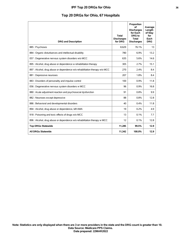## **IPF Top 20 DRGs for Ohio 36**

# **Top 20 DRGs for Ohio, 67 Hospitals**

| <b>DRG and Description</b>                                                 | <b>Total</b><br><b>Discharges</b><br>for DRG | Proportion<br>οf<br><b>Discharges</b><br>for Each<br>DRG to<br><b>Total</b><br><b>Discharges</b> | Average<br>Length<br>of Stay<br>for<br>Each<br><b>DRG</b> |
|----------------------------------------------------------------------------|----------------------------------------------|--------------------------------------------------------------------------------------------------|-----------------------------------------------------------|
| 885: Psychoses                                                             | 8.629                                        | 76.1%                                                                                            | 13                                                        |
| 884 : Organic disturbances and intellectual disability                     | 780                                          | 6.9%                                                                                             | 13.2                                                      |
| 057 : Degenerative nervous system disorders w/o MCC                        | 635                                          | 5.6%                                                                                             | 14.6                                                      |
| 895 : Alcohol, drug abuse or dependence w rehabilitation therapy           | 305                                          | 2.7%                                                                                             | 15.1                                                      |
| 897 : Alcohol, drug abuse or dependence w/o rehabilitation therapy w/o MCC | 270                                          | 2.4%                                                                                             | 8.4                                                       |
| 881 : Depressive neuroses                                                  | 207                                          | 1.8%                                                                                             | 8.4                                                       |
| 883 : Disorders of personality and impulse control                         | 100                                          | 0.9%                                                                                             | 11.8                                                      |
| 056 : Degenerative nervous system disorders w MCC                          | 96                                           | 0.9%                                                                                             | 16.8                                                      |
| 880 : Acute adjustment reaction and psychosocial dysfunction               | 91                                           | 0.8%                                                                                             | 9.9                                                       |
| 882 : Neuroses except depressive                                           | 88                                           | 0.8%                                                                                             | 12.8                                                      |
| 886 : Behavioral and developmental disorders                               | 40                                           | 0.4%                                                                                             | 11.8                                                      |
| 894 : Alcohol, drug abuse or dependence, left AMA                          | 19                                           | 0.2%                                                                                             | 4.9                                                       |
| 918 : Poisoning and toxic effects of drugs w/o MCC                         | 13                                           | 0.1%                                                                                             | 7.7                                                       |
| 896 : Alcohol, drug abuse or dependence w/o rehabilitation therapy w MCC   | 12                                           | 0.1%                                                                                             | 12.8                                                      |
| <b>Top DRGs Statewide</b>                                                  | 11,285                                       | 99.5%                                                                                            | 12.9                                                      |
| <b>All DRGs Statewide</b>                                                  | 11,342                                       | 100.0%                                                                                           | 12.9                                                      |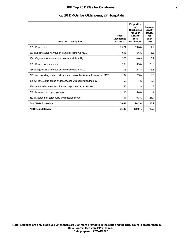## **IPF Top 20 DRGs for Oklahoma 37**

# **Top 20 DRGs for Oklahoma, 27 Hospitals**

| <b>DRG and Description</b>                                                 | Total<br><b>Discharges</b><br>for DRG | Proportion<br>οf<br><b>Discharges</b><br>for Each<br>DRG to<br><b>Total</b><br><b>Discharges</b> | Average<br>Length<br>of Stay<br>for<br>Each<br><b>DRG</b> |
|----------------------------------------------------------------------------|---------------------------------------|--------------------------------------------------------------------------------------------------|-----------------------------------------------------------|
| 885: Psychoses                                                             | 2,224                                 | 59.6%                                                                                            | 14.7                                                      |
| 057 : Degenerative nervous system disorders w/o MCC                        | 618                                   | 16.6%                                                                                            | 16.3                                                      |
| 884 : Organic disturbances and intellectual disability                     | 373                                   | 10.0%                                                                                            | 16.2                                                      |
| 881 : Depressive neuroses                                                  | 130                                   | 3.5%                                                                                             | 20.2                                                      |
| 056 : Degenerative nervous system disorders w MCC                          | 106                                   | 2.8%                                                                                             | 16.8                                                      |
| 897 : Alcohol, drug abuse or dependence w/o rehabilitation therapy w/o MCC | 94                                    | 2.5%                                                                                             | 8.6                                                       |
| 895 : Alcohol, drug abuse or dependence w rehabilitation therapy           | 52                                    | 1.4%                                                                                             | 12.6                                                      |
| 880 : Acute adjustment reaction and psychosocial dysfunction               | 40                                    | 1.1%                                                                                             | 12                                                        |
| 882 : Neuroses except depressive                                           | 16                                    | 0.4%                                                                                             | 12                                                        |
| 883 : Disorders of personality and impulse control                         | 11                                    | 0.3%                                                                                             | 21.4                                                      |
| <b>Top DRGs Statewide</b>                                                  | 3,664                                 | 98.2%                                                                                            | 15.2                                                      |
| <b>All DRGs Statewide</b>                                                  | 3,733                                 | 100.0%                                                                                           | 15.2                                                      |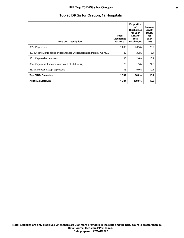# **Top 20 DRGs for Oregon, 12 Hospitals**

| <b>DRG and Description</b>                                                 | Total<br><b>Discharges</b><br>for DRG | Proportion<br>οf<br><b>Discharges</b><br>for Each<br><b>DRG</b> to<br>Total<br><b>Discharges</b> | Average<br>Length<br>of Stay<br>for<br>Each<br><b>DRG</b> |
|----------------------------------------------------------------------------|---------------------------------------|--------------------------------------------------------------------------------------------------|-----------------------------------------------------------|
| 885 : Psychoses                                                            | 1,086                                 | 78.5%                                                                                            | 20.2                                                      |
| 897 : Alcohol, drug abuse or dependence w/o rehabilitation therapy w/o MCC | 182                                   | 13.2%                                                                                            | 8.4                                                       |
| 881 : Depressive neuroses                                                  | 36                                    | 2.6%                                                                                             | 13.1                                                      |
| 884 : Organic disturbances and intellectual disability                     | 20                                    | 1.5%                                                                                             | 24.8                                                      |
| 882 : Neuroses except depressive                                           | 13                                    | 0.9%                                                                                             | 10.1                                                      |
| <b>Top DRGs Statewide</b>                                                  | 1,337                                 | 96.6%                                                                                            | 18.4                                                      |
| <b>All DRGs Statewide</b>                                                  | 1,384                                 | 100.0%                                                                                           | 18.3                                                      |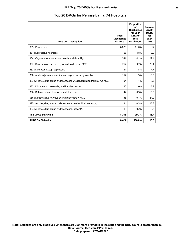## **IPF Top 20 DRGs for Pennsylvania 39**

|  |  |  |  |  |  | Top 20 DRGs for Pennsylvania, 74 Hospitals |  |
|--|--|--|--|--|--|--------------------------------------------|--|
|--|--|--|--|--|--|--------------------------------------------|--|

| <b>DRG and Description</b>                                                 | <b>Total</b><br><b>Discharges</b><br>for DRG | Proportion<br>of<br><b>Discharges</b><br>for Each<br>DRG to<br><b>Total</b><br><b>Discharges</b> | Average<br>Length<br>of Stay<br>for<br>Each<br><b>DRG</b> |
|----------------------------------------------------------------------------|----------------------------------------------|--------------------------------------------------------------------------------------------------|-----------------------------------------------------------|
| 885: Psychoses                                                             | 6,823                                        | 81.0%                                                                                            | 17                                                        |
| 881 : Depressive neuroses                                                  | 408                                          | 4.8%                                                                                             | 9.9                                                       |
| 884 : Organic disturbances and intellectual disability                     | 341                                          | 4.1%                                                                                             | 22.4                                                      |
| 057 : Degenerative nervous system disorders w/o MCC                        | 267                                          | 3.2%                                                                                             | 20.1                                                      |
| 882 : Neuroses except depressive                                           | 127                                          | 1.5%                                                                                             | 7.7                                                       |
| 880 : Acute adjustment reaction and psychosocial dysfunction               | 112                                          | 1.3%                                                                                             | 10.8                                                      |
| 897 : Alcohol, drug abuse or dependence w/o rehabilitation therapy w/o MCC | 94                                           | 1.1%                                                                                             | 8.3                                                       |
| 883 : Disorders of personality and impulse control                         | 80                                           | 1.0%                                                                                             | 15.9                                                      |
| 886 : Behavioral and developmental disorders                               | 44                                           | 0.5%                                                                                             | 13.8                                                      |
| 056 : Degenerative nervous system disorders w MCC                          | 35                                           | 0.4%                                                                                             | 24.9                                                      |
| 895 : Alcohol, drug abuse or dependence w rehabilitation therapy           | 24                                           | 0.3%                                                                                             | 25.3                                                      |
| 894 : Alcohol, drug abuse or dependence, left AMA                          | 13                                           | 0.2%                                                                                             | 8.7                                                       |
| <b>Top DRGs Statewide</b>                                                  | 8,368                                        | 99.3%                                                                                            | 16.7                                                      |
| <b>All DRGs Statewide</b>                                                  | 8,424                                        | 100.0%                                                                                           | 16.6                                                      |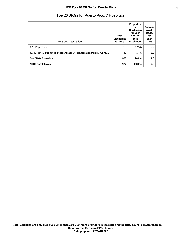## **IPF Top 20 DRGs for Puerto Rico 40**

# **Top 20 DRGs for Puerto Rico, 7 Hospitals**

| <b>DRG and Description</b>                                                 | Total<br><b>Discharges</b><br>for DRG | Proportion<br>οf<br><b>Discharges</b><br>for Each<br><b>DRG</b> to<br>Total<br><b>Discharges</b> | Average<br>Length<br>of Stay<br>for<br>Each<br><b>DRG</b> |
|----------------------------------------------------------------------------|---------------------------------------|--------------------------------------------------------------------------------------------------|-----------------------------------------------------------|
| 885 : Psychoses                                                            | 765                                   | 82.5%                                                                                            | 7.7                                                       |
| 897 : Alcohol, drug abuse or dependence w/o rehabilitation therapy w/o MCC | 143                                   | 15.4%                                                                                            | 6.8                                                       |
| <b>Top DRGs Statewide</b>                                                  | 908                                   | 98.0%                                                                                            | 7.6                                                       |
| All DRGs Statewide                                                         | 927                                   | 100.0%                                                                                           | 7.6                                                       |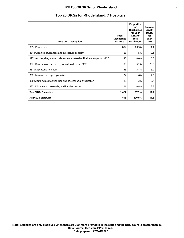## **IPF Top 20 DRGs for Rhode Island 41**

# **Top 20 DRGs for Rhode Island, 7 Hospitals**

| <b>DRG and Description</b>                                                 | <b>Total</b><br><b>Discharges</b><br>for DRG | Proportion<br>οf<br><b>Discharges</b><br>for Each<br><b>DRG</b> to<br>Total<br><b>Discharges</b> | Average<br>Length<br>of Stay<br>for<br>Each<br><b>DRG</b> |
|----------------------------------------------------------------------------|----------------------------------------------|--------------------------------------------------------------------------------------------------|-----------------------------------------------------------|
| 885: Psychoses                                                             | 882                                          | 60.3%                                                                                            | 11.1                                                      |
| 884 : Organic disturbances and intellectual disability                     | 168                                          | 11.5%                                                                                            | 19.1                                                      |
| 897 : Alcohol, drug abuse or dependence w/o rehabilitation therapy w/o MCC | 146                                          | 10.0%                                                                                            | 5.8                                                       |
| 057 : Degenerative nervous system disorders w/o MCC                        | 89                                           | 6.1%                                                                                             | 20.3                                                      |
| 881 : Depressive neuroses                                                  | 85                                           | 5.8%                                                                                             | 6.9                                                       |
| 882 : Neuroses except depressive                                           | 24                                           | 1.6%                                                                                             | 7.5                                                       |
| 880 : Acute adjustment reaction and psychosocial dysfunction               | 19                                           | 1.3%                                                                                             | 9.7                                                       |
| 883 : Disorders of personality and impulse control                         | 11                                           | 0.8%                                                                                             | 8.5                                                       |
| <b>Top DRGs Statewide</b>                                                  | 1,424                                        | 97.3%                                                                                            | 11.7                                                      |
| <b>All DRGs Statewide</b>                                                  | 1.463                                        | 100.0%                                                                                           | 11.8                                                      |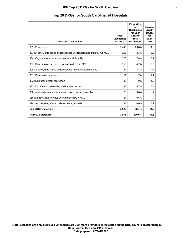## **IPF Top 20 DRGs for South Carolina 42**

| <b>DRG and Description</b>                                                 | <b>Total</b><br><b>Discharges</b><br>for DRG | Proportion<br>οf<br><b>Discharges</b><br>for Each<br>DRG to<br><b>Total</b><br><b>Discharges</b> | Average<br>Length<br>of Stay<br>for<br>Each<br><b>DRG</b> |
|----------------------------------------------------------------------------|----------------------------------------------|--------------------------------------------------------------------------------------------------|-----------------------------------------------------------|
| 885: Psychoses                                                             | 2.492                                        | 69.8%                                                                                            | 11.8                                                      |
| 897 : Alcohol, drug abuse or dependence w/o rehabilitation therapy w/o MCC | 298                                          | 8.3%                                                                                             | 8.8                                                       |
| 884 : Organic disturbances and intellectual disability                     | 278                                          | 7.8%                                                                                             | 15.7                                                      |
| 057 : Degenerative nervous system disorders w/o MCC                        | 150                                          | 4.2%                                                                                             | 13.3                                                      |
| 895 : Alcohol, drug abuse or dependence w rehabilitation therapy           | 121                                          | 3.4%                                                                                             | 14.7                                                      |
| 881 : Depressive neuroses                                                  | 61                                           | 1.7%                                                                                             | 7.1                                                       |
| 882 : Neuroses except depressive                                           | 36                                           | 1.0%                                                                                             | 11.9                                                      |
| 883 : Disorders of personality and impulse control                         | 25                                           | 0.7%                                                                                             | 6.8                                                       |
| 880 : Acute adjustment reaction and psychosocial dysfunction               | 23                                           | 0.6%                                                                                             | 7                                                         |
| 056 : Degenerative nervous system disorders w MCC                          | 21                                           | 0.6%                                                                                             | 17                                                        |
| 894 : Alcohol, drug abuse or dependence, left AMA                          | 21                                           | 0.6%                                                                                             | 5.1                                                       |
| <b>Top DRGs Statewide</b>                                                  | 3,526                                        | 98.7%                                                                                            | 11.8                                                      |
| All DRGs Statewide                                                         | 3.573                                        | 100.0%                                                                                           | 11.8                                                      |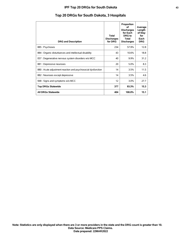## **IPF Top 20 DRGs for South Dakota 43**

# **Top 20 DRGs for South Dakota, 3 Hospitals**

| <b>DRG and Description</b>                                   | Total<br><b>Discharges</b><br>for DRG | Proportion<br>οf<br><b>Discharges</b><br>for Each<br>DRG to<br>Total<br><b>Discharges</b> | Average<br>Length<br>of Stay<br>for<br>Each<br><b>DRG</b> |
|--------------------------------------------------------------|---------------------------------------|-------------------------------------------------------------------------------------------|-----------------------------------------------------------|
| 885: Psychoses                                               | 234                                   | 57.9%                                                                                     | 12.8                                                      |
| 884 : Organic disturbances and intellectual disability       | 43                                    | 10.6%                                                                                     | 18.8                                                      |
| 057 : Degenerative nervous system disorders w/o MCC          | 40                                    | 9.9%                                                                                      | 31.2                                                      |
| 881 : Depressive neuroses                                    | 20                                    | 5.0%                                                                                      | 8.3                                                       |
| 880 : Acute adjustment reaction and psychosocial dysfunction | 14                                    | 3.5%                                                                                      | 11.5                                                      |
| 882 : Neuroses except depressive                             | 14                                    | 3.5%                                                                                      | 4.6                                                       |
| 948 : Signs and symptoms w/o MCC                             | 12                                    | 3.0%                                                                                      | 27.7                                                      |
| <b>Top DRGs Statewide</b>                                    | 377                                   | 93.3%                                                                                     | 15.3                                                      |
| <b>All DRGs Statewide</b>                                    | 404                                   | 100.0%                                                                                    | 15.1                                                      |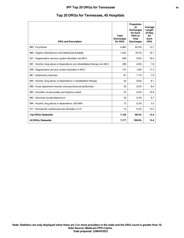## **IPF Top 20 DRGs for Tennessee 44**

# **Top 20 DRGs for Tennessee, 45 Hospitals**

| <b>DRG and Description</b>                                                 | <b>Total</b><br><b>Discharges</b><br>for DRG | Proportion<br>of<br><b>Discharges</b><br>for Each<br>DRG to<br><b>Total</b><br><b>Discharges</b> | Average<br>Length<br>of Stay<br>for<br>Each<br><b>DRG</b> |
|----------------------------------------------------------------------------|----------------------------------------------|--------------------------------------------------------------------------------------------------|-----------------------------------------------------------|
| 885: Psychoses                                                             | 4,485                                        | 62.5%                                                                                            | 12.7                                                      |
| 884 : Organic disturbances and intellectual disability                     | 1.343                                        | 18.7%                                                                                            | 16.1                                                      |
| 057 : Degenerative nervous system disorders w/o MCC                        | 648                                          | 9.0%                                                                                             | 16.4                                                      |
| 897 : Alcohol, drug abuse or dependence w/o rehabilitation therapy w/o MCC | 290                                          | 4.0%                                                                                             | 7.8                                                       |
| 056 : Degenerative nervous system disorders w MCC                          | 127                                          | 1.8%                                                                                             | 17.3                                                      |
| 881 : Depressive neuroses                                                  | 81                                           | 1.1%                                                                                             | 7.9                                                       |
| 895 : Alcohol, drug abuse or dependence w rehabilitation therapy           | 43                                           | 0.6%                                                                                             | 8.1                                                       |
| 880 : Acute adjustment reaction and psychosocial dysfunction               | 34                                           | 0.5%                                                                                             | 8.4                                                       |
| 883 : Disorders of personality and impulse control                         | 25                                           | 0.4%                                                                                             | 10.9                                                      |
| 882 : Neuroses except depressive                                           | 24                                           | 0.3%                                                                                             | 9.7                                                       |
| 894 : Alcohol, drug abuse or dependence, left AMA                          | 15                                           | 0.2%                                                                                             | 3.5                                                       |
| 071 : Nonspecific cerebrovascular disorders w CC                           | 13                                           | 0.2%                                                                                             | 13.5                                                      |
| <b>Top DRGs Statewide</b>                                                  | 7,128                                        | 99.3%                                                                                            | 13.4                                                      |
| <b>All DRGs Statewide</b>                                                  | 7,177                                        | 100.0%                                                                                           | 13.4                                                      |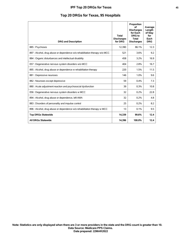|  |  |  |  |  |  | Top 20 DRGs for Texas, 95 Hospitals |
|--|--|--|--|--|--|-------------------------------------|
|--|--|--|--|--|--|-------------------------------------|

| <b>DRG and Description</b>                                                 | <b>Total</b><br><b>Discharges</b><br>for DRG | Proportion<br>of<br><b>Discharges</b><br>for Each<br><b>DRG</b> to<br><b>Total</b><br><b>Discharges</b> | Average<br>Length<br>of Stay<br>for<br>Each<br><b>DRG</b> |
|----------------------------------------------------------------------------|----------------------------------------------|---------------------------------------------------------------------------------------------------------|-----------------------------------------------------------|
| 885: Psychoses                                                             | 12,390                                       | 86.1%                                                                                                   | 12.3                                                      |
| 897 : Alcohol, drug abuse or dependence w/o rehabilitation therapy w/o MCC | 521                                          | 3.6%                                                                                                    | 9.2                                                       |
| 884 : Organic disturbances and intellectual disability                     | 458                                          | 3.2%                                                                                                    | 16.9                                                      |
| 057 : Degenerative nervous system disorders w/o MCC                        | 404                                          | 2.8%                                                                                                    | 16.7                                                      |
| 895 : Alcohol, drug abuse or dependence w rehabilitation therapy           | 220                                          | 1.5%                                                                                                    | 11.5                                                      |
| 881 : Depressive neuroses                                                  | 146                                          | 1.0%                                                                                                    | 9.6                                                       |
| 882 : Neuroses except depressive                                           | 59                                           | 0.4%                                                                                                    | 7.3                                                       |
| 880 : Acute adjustment reaction and psychosocial dysfunction               | 39                                           | 0.3%                                                                                                    | 10.8                                                      |
| 056 : Degenerative nervous system disorders w MCC                          | 32                                           | 0.2%                                                                                                    | 22.8                                                      |
| 894 : Alcohol, drug abuse or dependence, left AMA                          | 32                                           | 0.2%                                                                                                    | 4.8                                                       |
| 883 : Disorders of personality and impulse control                         | 25                                           | 0.2%                                                                                                    | 8.2                                                       |
| 896 : Alcohol, drug abuse or dependence w/o rehabilitation therapy w MCC   | 13                                           | 0.1%                                                                                                    | 9.5                                                       |
| <b>Top DRGs Statewide</b>                                                  | 14,339                                       | 99.6%                                                                                                   | 12.4                                                      |
| <b>All DRGs Statewide</b>                                                  | 14,396                                       | 100.0%                                                                                                  | 12.4                                                      |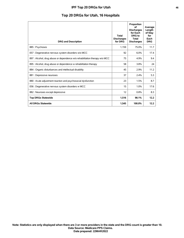## **IPF Top 20 DRGs for Utah 46**

# **Top 20 DRGs for Utah, 16 Hospitals**

| <b>DRG and Description</b>                                                 | <b>Total</b><br><b>Discharges</b><br>for DRG | Proportion<br>οf<br><b>Discharges</b><br>for Each<br>DRG to<br>Total<br><b>Discharges</b> | Average<br>Length<br>of Stay<br>for<br>Each<br><b>DRG</b> |
|----------------------------------------------------------------------------|----------------------------------------------|-------------------------------------------------------------------------------------------|-----------------------------------------------------------|
| 885: Psychoses                                                             | 1,159                                        | 75.0%                                                                                     | 11.7                                                      |
| 057 : Degenerative nervous system disorders w/o MCC                        | 92                                           | 6.0%                                                                                      | 17.4                                                      |
| 897 : Alcohol, drug abuse or dependence w/o rehabilitation therapy w/o MCC | 75                                           | 4.9%                                                                                      | 9.4                                                       |
| 895 : Alcohol, drug abuse or dependence w rehabilitation therapy           | 58                                           | 3.8%                                                                                      | 24                                                        |
| 884 : Organic disturbances and intellectual disability                     | 45                                           | 2.9%                                                                                      | 11.2                                                      |
| 881 : Depressive neuroses                                                  | 37                                           | 2.4%                                                                                      | 5.3                                                       |
| 880 : Acute adjustment reaction and psychosocial dysfunction               | 23                                           | 1.5%                                                                                      | 8.7                                                       |
| 056 : Degenerative nervous system disorders w MCC                          | 15                                           | 1.0%                                                                                      | 17.6                                                      |
| 882 : Neuroses except depressive                                           | 12                                           | 0.8%                                                                                      | 8.3                                                       |
| <b>Top DRGs Statewide</b>                                                  | 1,516                                        | 98.1%                                                                                     | 12.2                                                      |
| <b>All DRGs Statewide</b>                                                  | 1.545                                        | 100.0%                                                                                    | 12.2                                                      |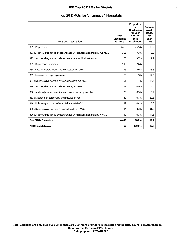| <b>DRG and Description</b>                                                 | <b>Total</b><br><b>Discharges</b><br>for DRG | Proportion<br>of<br><b>Discharges</b><br>for Each<br>DRG to<br><b>Total</b><br><b>Discharges</b> | Average<br>Length<br>of Stay<br>for<br>Each<br><b>DRG</b> |
|----------------------------------------------------------------------------|----------------------------------------------|--------------------------------------------------------------------------------------------------|-----------------------------------------------------------|
| 885: Psychoses                                                             | 3.416                                        | 76.5%                                                                                            | 13.2                                                      |
| 897 : Alcohol, drug abuse or dependence w/o rehabilitation therapy w/o MCC | 326                                          | 7.3%                                                                                             | 8.8                                                       |
| 895 : Alcohol, drug abuse or dependence w rehabilitation therapy           | 166                                          | 3.7%                                                                                             | 7.2                                                       |
| 881 : Depressive neuroses                                                  | 115                                          | 2.6%                                                                                             | 8                                                         |
| 884 : Organic disturbances and intellectual disability                     | 115                                          | 2.6%                                                                                             | 18.8                                                      |
| 882 : Neuroses except depressive                                           | 68                                           | 1.5%                                                                                             | 12.6                                                      |
| 057 : Degenerative nervous system disorders w/o MCC                        | 51                                           | 1.1%                                                                                             | 17.6                                                      |
| 894 : Alcohol, drug abuse or dependence, left AMA                          | 39                                           | 0.9%                                                                                             | 4.8                                                       |
| 880 : Acute adjustment reaction and psychosocial dysfunction               | 38                                           | 0.9%                                                                                             | 8.9                                                       |
| 883 : Disorders of personality and impulse control                         | 30                                           | 0.7%                                                                                             | 20.8                                                      |
| 918 : Poisoning and toxic effects of drugs w/o MCC                         | 19                                           | 0.4%                                                                                             | 5.6                                                       |
| 056 : Degenerative nervous system disorders w MCC                          | 14                                           | 0.3%                                                                                             | 31.3                                                      |
| 896 : Alcohol, drug abuse or dependence w/o rehabilitation therapy w MCC   | 12                                           | 0.3%                                                                                             | 14.5                                                      |
| <b>Top DRGs Statewide</b>                                                  | 4.409                                        | 98.8%                                                                                            | 12.7                                                      |
| <b>All DRGs Statewide</b>                                                  | 4.465                                        | 100.0%                                                                                           | 12.7                                                      |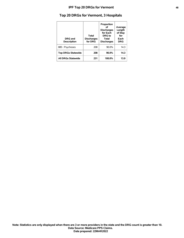# **Top 20 DRGs for Vermont, 3 Hospitals**

| DRG and<br><b>Description</b> | Total<br><b>Discharges</b><br>for DRG | Proportion<br>οf<br><b>Discharges</b><br>for Each<br><b>DRG</b> to<br><b>Total</b><br><b>Discharges</b> | Average<br>Length<br>of Stay<br>for<br>Each<br><b>DRG</b> |
|-------------------------------|---------------------------------------|---------------------------------------------------------------------------------------------------------|-----------------------------------------------------------|
| 885: Psychoses                | 208                                   | 90.0%                                                                                                   | 14.3                                                      |
| <b>Top DRGs Statewide</b>     | 208                                   | 90.0%                                                                                                   | 14.3                                                      |
| <b>All DRGs Statewide</b>     | 231                                   | 100.0%                                                                                                  | 13.9                                                      |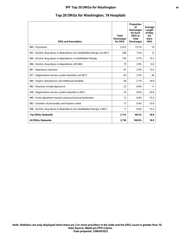## **IPF Top 20 DRGs for Washington 1999**

# **Top 20 DRGs for Washington, 19 Hospitals**

| <b>DRG and Description</b>                                                 | <b>Total</b><br><b>Discharges</b><br>for DRG | Proportion<br>of<br><b>Discharges</b><br>for Each<br>DRG to<br><b>Total</b><br><b>Discharges</b> | Average<br>Length<br>of Stay<br>for<br>Each<br><b>DRG</b> |
|----------------------------------------------------------------------------|----------------------------------------------|--------------------------------------------------------------------------------------------------|-----------------------------------------------------------|
| 885: Psychoses                                                             | 2,015                                        | 73.7%                                                                                            | 19                                                        |
| 897 : Alcohol, drug abuse or dependence w/o rehabilitation therapy w/o MCC | 206                                          | 7.5%                                                                                             | $12 \overline{ }$                                         |
| 895 : Alcohol, drug abuse or dependence w rehabilitation therapy           | 155                                          | 5.7%                                                                                             | 15.2                                                      |
| 894 : Alcohol, drug abuse or dependence, left AMA                          | 79                                           | 2.9%                                                                                             | 6.6                                                       |
| 881 : Depressive neuroses                                                  | 67                                           | 2.5%                                                                                             | 13.5                                                      |
| 057 : Degenerative nervous system disorders w/o MCC                        | 63                                           | 2.3%                                                                                             | 40                                                        |
| 884 : Organic disturbances and intellectual disability                     | 56                                           | 2.1%                                                                                             | 34.8                                                      |
| 882 : Neuroses except depressive                                           | 23                                           | 0.8%                                                                                             | 11                                                        |
| 056 : Degenerative nervous system disorders w MCC                          | 16                                           | 0.6%                                                                                             | 55.8                                                      |
| 880 : Acute adjustment reaction and psychosocial dysfunction               | 12                                           | 0.4%                                                                                             | 15.4                                                      |
| 883 : Disorders of personality and impulse control                         | 12                                           | 0.4%                                                                                             | 33.6                                                      |
| 896 : Alcohol, drug abuse or dependence w/o rehabilitation therapy w MCC   | 11                                           | 0.4%                                                                                             | 15.3                                                      |
| <b>Top DRGs Statewide</b>                                                  | 2,715                                        | 99.2%                                                                                            | 18.8                                                      |
| <b>All DRGs Statewide</b>                                                  | 2,736                                        | 100.0%                                                                                           | 18.9                                                      |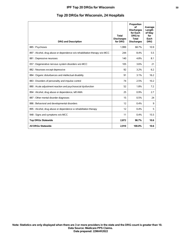# **Top 20 DRGs for Wisconsin, 24 Hospitals**

| <b>DRG and Description</b>                                                 | <b>Total</b><br><b>Discharges</b><br>for DRG | Proportion<br>of<br><b>Discharges</b><br>for Each<br><b>DRG</b> to<br><b>Total</b><br><b>Discharges</b> | Average<br>Length<br>of Stay<br>for<br>Each<br><b>DRG</b> |
|----------------------------------------------------------------------------|----------------------------------------------|---------------------------------------------------------------------------------------------------------|-----------------------------------------------------------|
| 885: Psychoses                                                             | 1.999                                        | 68.7%                                                                                                   | 10.9                                                      |
| 897 : Alcohol, drug abuse or dependence w/o rehabilitation therapy w/o MCC | 244                                          | 8.4%                                                                                                    | 5.5                                                       |
| 881 : Depressive neuroses                                                  | 140                                          | 4.8%                                                                                                    | 8.1                                                       |
| 057 : Degenerative nervous system disorders w/o MCC                        | 105                                          | 3.6%                                                                                                    | 21                                                        |
| 882 : Neuroses except depressive                                           | 92                                           | 3.2%                                                                                                    | 6.2                                                       |
| 884 : Organic disturbances and intellectual disability                     | 91                                           | 3.1%                                                                                                    | 16.2                                                      |
| 883 : Disorders of personality and impulse control                         | 74                                           | 2.5%                                                                                                    | 10.2                                                      |
| 880 : Acute adjustment reaction and psychosocial dysfunction               | 52                                           | 1.8%                                                                                                    | 7.2                                                       |
| 894 : Alcohol, drug abuse or dependence, left AMA                          | 25                                           | 0.9%                                                                                                    | 2.7                                                       |
| 887 : Other mental disorder diagnoses                                      | 15                                           | 0.5%                                                                                                    | 24                                                        |
| 886 : Behavioral and developmental disorders                               | 12                                           | 0.4%                                                                                                    | 9                                                         |
| 895 : Alcohol, drug abuse or dependence w rehabilitation therapy           | 12                                           | 0.4%                                                                                                    | 5                                                         |
| 948 : Signs and symptoms w/o MCC                                           | 11                                           | 0.4%                                                                                                    | 15.5                                                      |
| <b>Top DRGs Statewide</b>                                                  | 2,872                                        | 98.7%                                                                                                   | 10.6                                                      |
| <b>All DRGs Statewide</b>                                                  | 2,910                                        | 100.0%                                                                                                  | 10.6                                                      |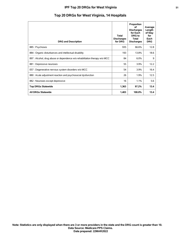## **IPF Top 20 DRGs for West Virginia 51**

| <b>DRG and Description</b>                                                 | <b>Total</b><br><b>Discharges</b><br>for DRG | Proportion<br>οf<br><b>Discharges</b><br>for Each<br><b>DRG</b> to<br><b>Total</b><br><b>Discharges</b> | Average<br>Length<br>of Stay<br>for<br>Each<br><b>DRG</b> |
|----------------------------------------------------------------------------|----------------------------------------------|---------------------------------------------------------------------------------------------------------|-----------------------------------------------------------|
| 885: Psychoses                                                             | 935                                          | 66.6%                                                                                                   | 12.8                                                      |
| 884 : Organic disturbances and intellectual disability                     | 193                                          | 13.8%                                                                                                   | 18.6                                                      |
| 897 : Alcohol, drug abuse or dependence w/o rehabilitation therapy w/o MCC | 84                                           | 6.0%                                                                                                    | 9                                                         |
| 881 : Depressive neuroses                                                  | 55                                           | 3.9%                                                                                                    | 12.2                                                      |
| 057 : Degenerative nervous system disorders w/o MCC                        | 54                                           | 3.9%                                                                                                    | 16.4                                                      |
| 880 : Acute adjustment reaction and psychosocial dysfunction               | 26                                           | 1.9%                                                                                                    | 12.5                                                      |
| 882 : Neuroses except depressive                                           | 16                                           | 1.1%                                                                                                    | 5.6                                                       |
| <b>Top DRGs Statewide</b>                                                  | 1,363                                        | 97.2%                                                                                                   | 13.4                                                      |
| <b>All DRGs Statewide</b>                                                  | 1,403                                        | 100.0%                                                                                                  | 13.4                                                      |